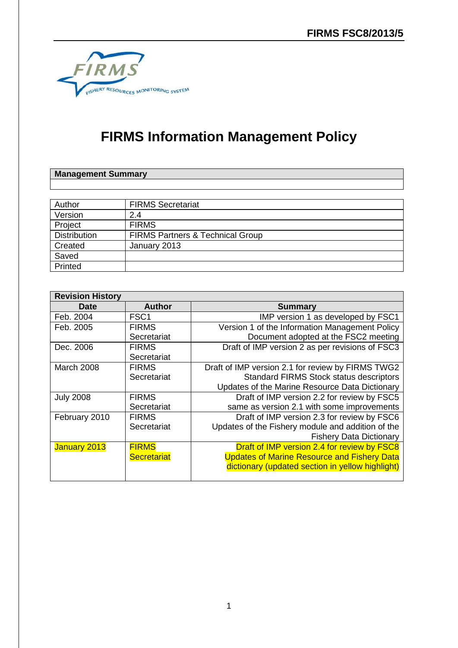

# **FIRMS Information Management Policy**

# **Management Summary**

| Author              | <b>FIRMS Secretariat</b>                    |
|---------------------|---------------------------------------------|
| Version             | 2.4                                         |
| Project             | <b>FIRMS</b>                                |
| <b>Distribution</b> | <b>FIRMS Partners &amp; Technical Group</b> |
| Created             | January 2013                                |
| Saved               |                                             |
| Printed             |                                             |

| <b>Revision History</b> |                    |                                                    |  |
|-------------------------|--------------------|----------------------------------------------------|--|
| <b>Date</b>             | <b>Author</b>      | <b>Summary</b>                                     |  |
| Feb. 2004               | FSC <sub>1</sub>   | IMP version 1 as developed by FSC1                 |  |
| Feb. 2005               | <b>FIRMS</b>       | Version 1 of the Information Management Policy     |  |
|                         | Secretariat        | Document adopted at the FSC2 meeting               |  |
| Dec. 2006               | <b>FIRMS</b>       | Draft of IMP version 2 as per revisions of FSC3    |  |
|                         | Secretariat        |                                                    |  |
| March 2008              | <b>FIRMS</b>       | Draft of IMP version 2.1 for review by FIRMS TWG2  |  |
|                         | Secretariat        | <b>Standard FIRMS Stock status descriptors</b>     |  |
|                         |                    | Updates of the Marine Resource Data Dictionary     |  |
| <b>July 2008</b>        | <b>FIRMS</b>       | Draft of IMP version 2.2 for review by FSC5        |  |
|                         | Secretariat        | same as version 2.1 with some improvements         |  |
| February 2010           | <b>FIRMS</b>       | Draft of IMP version 2.3 for review by FSC6        |  |
|                         | Secretariat        | Updates of the Fishery module and addition of the  |  |
|                         |                    | <b>Fishery Data Dictionary</b>                     |  |
| January 2013            | <b>FIRMS</b>       | Draft of IMP version 2.4 for review by FSC8        |  |
|                         | <b>Secretariat</b> | <b>Updates of Marine Resource and Fishery Data</b> |  |
|                         |                    | dictionary (updated section in yellow highlight)   |  |
|                         |                    |                                                    |  |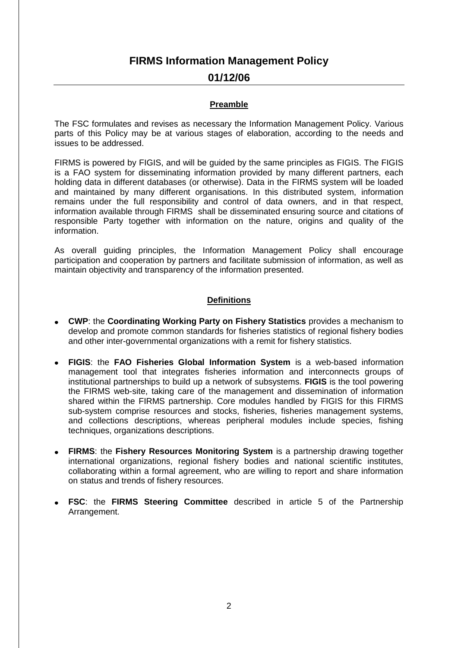# **FIRMS Information Management Policy**

# **01/12/06**

#### **Preamble**

The FSC formulates and revises as necessary the Information Management Policy. Various parts of this Policy may be at various stages of elaboration, according to the needs and issues to be addressed.

FIRMS is powered by FIGIS, and will be guided by the same principles as FIGIS. The FIGIS is a FAO system for disseminating information provided by many different partners, each holding data in different databases (or otherwise). Data in the FIRMS system will be loaded and maintained by many different organisations. In this distributed system, information remains under the full responsibility and control of data owners, and in that respect, information available through FIRMS shall be disseminated ensuring source and citations of responsible Party together with information on the nature, origins and quality of the information.

As overall guiding principles, the Information Management Policy shall encourage participation and cooperation by partners and facilitate submission of information, as well as maintain objectivity and transparency of the information presented.

# **Definitions**

- **CWP**: the **Coordinating Working Party on Fishery Statistics** provides a mechanism to develop and promote common standards for fisheries statistics of regional fishery bodies and other inter-governmental organizations with a remit for fishery statistics.
- **FIGIS**: the **FAO Fisheries Global Information System** is a web-based information management tool that integrates fisheries information and interconnects groups of institutional partnerships to build up a network of subsystems. **FIGIS** is the tool powering the FIRMS web-site, taking care of the management and dissemination of information shared within the FIRMS partnership. Core modules handled by FIGIS for this FIRMS sub-system comprise resources and stocks, fisheries, fisheries management systems, and collections descriptions, whereas peripheral modules include species, fishing techniques, organizations descriptions.
- **FIRMS**: the **Fishery Resources Monitoring System** is a partnership drawing together international organizations, regional fishery bodies and national scientific institutes, collaborating within a formal agreement, who are willing to report and share information on status and trends of fishery resources.
- **FSC**: the **FIRMS Steering Committee** described in article 5 of the Partnership Arrangement.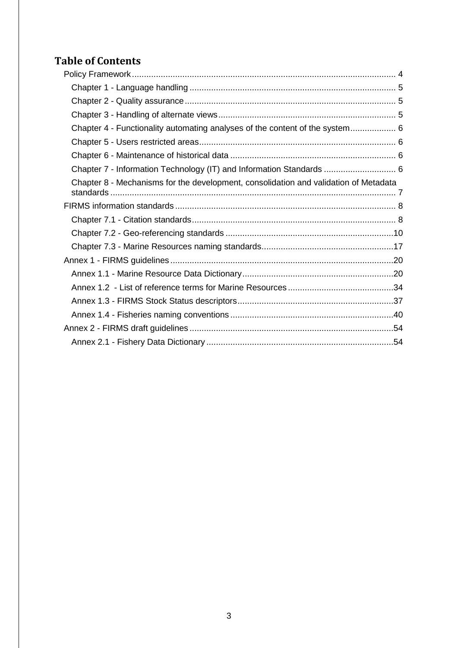# **Table of Contents**

| Chapter 4 - Functionality automating analyses of the content of the system 6         |  |
|--------------------------------------------------------------------------------------|--|
|                                                                                      |  |
|                                                                                      |  |
| Chapter 7 - Information Technology (IT) and Information Standards  6                 |  |
| Chapter 8 - Mechanisms for the development, consolidation and validation of Metadata |  |
|                                                                                      |  |
|                                                                                      |  |
|                                                                                      |  |
|                                                                                      |  |
|                                                                                      |  |
|                                                                                      |  |
|                                                                                      |  |
|                                                                                      |  |
|                                                                                      |  |
|                                                                                      |  |
|                                                                                      |  |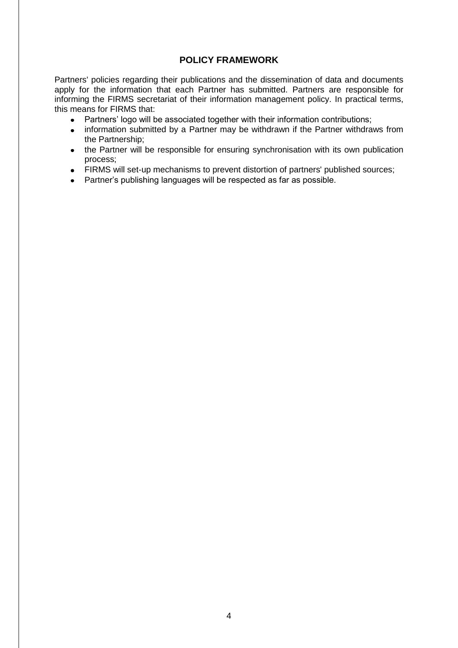# **POLICY FRAMEWORK**

<span id="page-3-0"></span>Partners' policies regarding their publications and the dissemination of data and documents apply for the information that each Partner has submitted. Partners are responsible for informing the FIRMS secretariat of their information management policy. In practical terms, this means for FIRMS that:

- Partners' logo will be associated together with their information contributions;
- information submitted by a Partner may be withdrawn if the Partner withdraws from  $\bullet$  . the Partnership;
- the Partner will be responsible for ensuring synchronisation with its own publication process;
- FIRMS will set-up mechanisms to prevent distortion of partners' published sources;
- Partner's publishing languages will be respected as far as possible.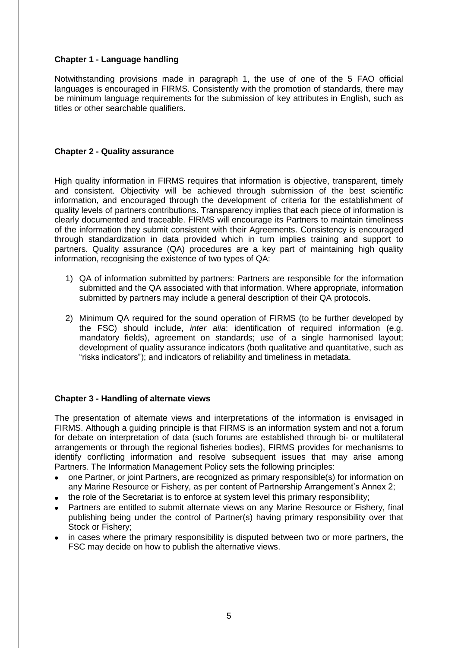# <span id="page-4-0"></span>**Chapter 1 - Language handling**

Notwithstanding provisions made in paragraph 1, the use of one of the 5 FAO official languages is encouraged in FIRMS. Consistently with the promotion of standards, there may be minimum language requirements for the submission of key attributes in English, such as titles or other searchable qualifiers.

### <span id="page-4-1"></span>**Chapter 2 - Quality assurance**

High quality information in FIRMS requires that information is objective, transparent, timely and consistent. Objectivity will be achieved through submission of the best scientific information, and encouraged through the development of criteria for the establishment of quality levels of partners contributions. Transparency implies that each piece of information is clearly documented and traceable. FIRMS will encourage its Partners to maintain timeliness of the information they submit consistent with their Agreements. Consistency is encouraged through standardization in data provided which in turn implies training and support to partners. Quality assurance (QA) procedures are a key part of maintaining high quality information, recognising the existence of two types of QA:

- 1) QA of information submitted by partners: Partners are responsible for the information submitted and the QA associated with that information. Where appropriate, information submitted by partners may include a general description of their QA protocols.
- 2) Minimum QA required for the sound operation of FIRMS (to be further developed by the FSC) should include, *inter alia*: identification of required information (e.g. mandatory fields), agreement on standards; use of a single harmonised layout; development of quality assurance indicators (both qualitative and quantitative, such as "risks indicators"); and indicators of reliability and timeliness in metadata.

### <span id="page-4-2"></span>**Chapter 3 - Handling of alternate views**

The presentation of alternate views and interpretations of the information is envisaged in FIRMS. Although a guiding principle is that FIRMS is an information system and not a forum for debate on interpretation of data (such forums are established through bi- or multilateral arrangements or through the regional fisheries bodies), FIRMS provides for mechanisms to identify conflicting information and resolve subsequent issues that may arise among Partners. The Information Management Policy sets the following principles:

- one Partner, or joint Partners, are recognized as primary responsible(s) for information on any Marine Resource or Fishery, as per content of Partnership Arrangement's Annex 2;
- the role of the Secretariat is to enforce at system level this primary responsibility;
- Partners are entitled to submit alternate views on any Marine Resource or Fishery, final publishing being under the control of Partner(s) having primary responsibility over that Stock or Fishery;
- in cases where the primary responsibility is disputed between two or more partners, the FSC may decide on how to publish the alternative views.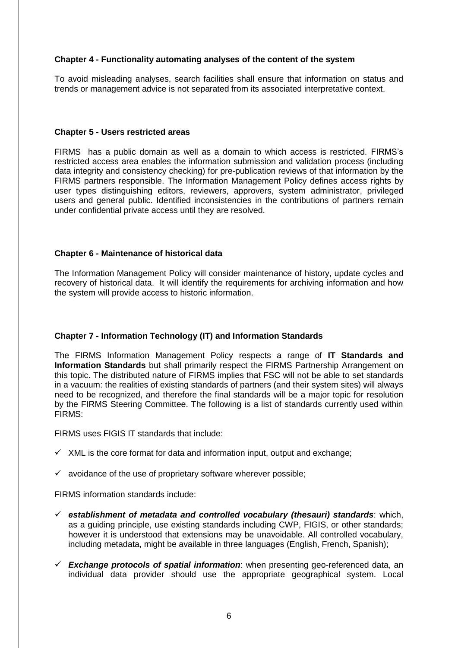### <span id="page-5-0"></span>**Chapter 4 - Functionality automating analyses of the content of the system**

To avoid misleading analyses, search facilities shall ensure that information on status and trends or management advice is not separated from its associated interpretative context.

#### <span id="page-5-1"></span>**Chapter 5 - Users restricted areas**

FIRMS has a public domain as well as a domain to which access is restricted. FIRMS's restricted access area enables the information submission and validation process (including data integrity and consistency checking) for pre-publication reviews of that information by the FIRMS partners responsible. The Information Management Policy defines access rights by user types distinguishing editors, reviewers, approvers, system administrator, privileged users and general public. Identified inconsistencies in the contributions of partners remain under confidential private access until they are resolved.

### <span id="page-5-2"></span>**Chapter 6 - Maintenance of historical data**

The Information Management Policy will consider maintenance of history, update cycles and recovery of historical data. It will identify the requirements for archiving information and how the system will provide access to historic information.

### <span id="page-5-3"></span>**Chapter 7 - Information Technology (IT) and Information Standards**

The FIRMS Information Management Policy respects a range of **IT Standards and Information Standards** but shall primarily respect the FIRMS Partnership Arrangement on this topic. The distributed nature of FIRMS implies that FSC will not be able to set standards in a vacuum: the realities of existing standards of partners (and their system sites) will always need to be recognized, and therefore the final standards will be a major topic for resolution by the FIRMS Steering Committee. The following is a list of standards currently used within FIRMS:

FIRMS uses FIGIS IT standards that include:

- $\times$  XML is the core format for data and information input, output and exchange;
- $\checkmark$  avoidance of the use of proprietary software wherever possible;

FIRMS information standards include:

- *establishment of metadata and controlled vocabulary (thesauri) standards*: which, as a guiding principle, use existing standards including CWP, FIGIS, or other standards; however it is understood that extensions may be unavoidable. All controlled vocabulary, including metadata, might be available in three languages (English, French, Spanish);
- *Exchange protocols of spatial information*: when presenting geo-referenced data, an individual data provider should use the appropriate geographical system. Local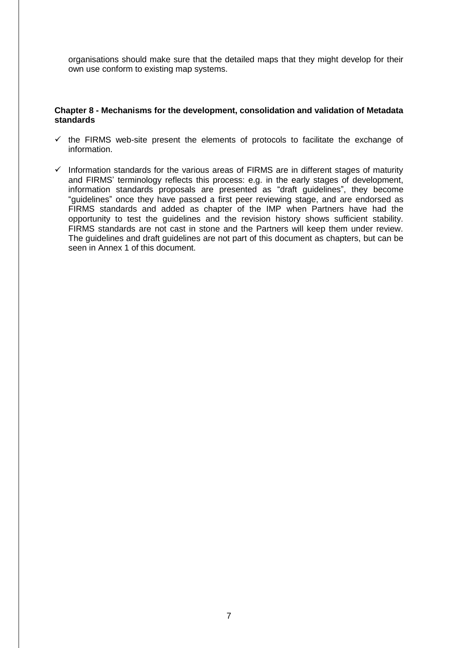organisations should make sure that the detailed maps that they might develop for their own use conform to existing map systems.

#### <span id="page-6-0"></span>**Chapter 8 - Mechanisms for the development, consolidation and validation of Metadata standards**

- $\checkmark$  the FIRMS web-site present the elements of protocols to facilitate the exchange of information.
- $\checkmark$  Information standards for the various areas of FIRMS are in different stages of maturity and FIRMS' terminology reflects this process: e.g. in the early stages of development, information standards proposals are presented as "draft guidelines", they become "guidelines" once they have passed a first peer reviewing stage, and are endorsed as FIRMS standards and added as chapter of the IMP when Partners have had the opportunity to test the guidelines and the revision history shows sufficient stability. FIRMS standards are not cast in stone and the Partners will keep them under review. The guidelines and draft guidelines are not part of this document as chapters, but can be seen in Annex 1 of this document.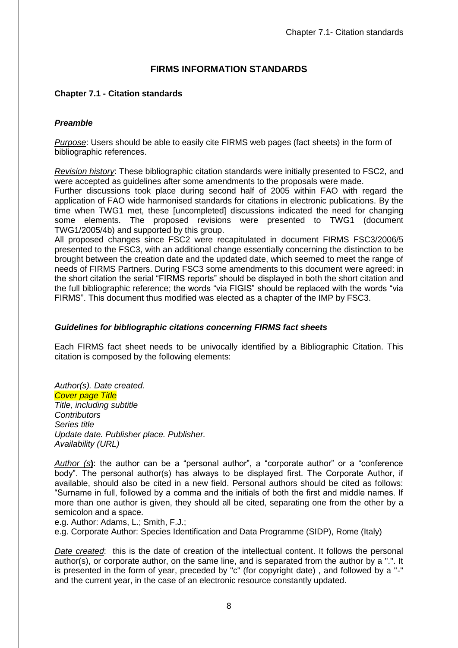# **FIRMS INFORMATION STANDARDS**

# <span id="page-7-1"></span><span id="page-7-0"></span>**Chapter 7.1 - Citation standards**

# *Preamble*

*Purpose*: Users should be able to easily cite FIRMS web pages (fact sheets) in the form of bibliographic references.

*Revision history*: These bibliographic citation standards were initially presented to FSC2, and were accepted as guidelines after some amendments to the proposals were made.

Further discussions took place during second half of 2005 within FAO with regard the application of FAO wide harmonised standards for citations in electronic publications. By the time when TWG1 met, these [uncompleted] discussions indicated the need for changing some elements. The proposed revisions were presented to TWG1 (document TWG1/2005/4b) and supported by this group.

All proposed changes since FSC2 were recapitulated in document FIRMS FSC3/2006/5 presented to the FSC3, with an additional change essentially concerning the distinction to be brought between the creation date and the updated date, which seemed to meet the range of needs of FIRMS Partners. During FSC3 some amendments to this document were agreed: in the short citation the serial "FIRMS reports" should be displayed in both the short citation and the full bibliographic reference; the words "via FIGIS" should be replaced with the words "via FIRMS". This document thus modified was elected as a chapter of the IMP by FSC3.

### *Guidelines for bibliographic citations concerning FIRMS fact sheets*

Each FIRMS fact sheet needs to be univocally identified by a Bibliographic Citation. This citation is composed by the following elements:

*Author(s). Date created. Cover page Title Title, including subtitle Contributors Series title Update date. Publisher place. Publisher. Availability (URL)*

*Author (s***)**: the author can be a "personal author", a "corporate author" or a "conference body". The personal author(s) has always to be displayed first. The Corporate Author, if available, should also be cited in a new field. Personal authors should be cited as follows: "Surname in full, followed by a comma and the initials of both the first and middle names. If more than one author is given, they should all be cited, separating one from the other by a semicolon and a space.

e.g. Author: Adams, L.; Smith, F.J.;

e.g. Corporate Author: Species Identification and Data Programme (SIDP), Rome (Italy)

*Date created*: this is the date of creation of the intellectual content. It follows the personal author(s), or corporate author, on the same line, and is separated from the author by a ".". It is presented in the form of year, preceded by "c" (for copyright date) , and followed by a "-" and the current year, in the case of an electronic resource constantly updated.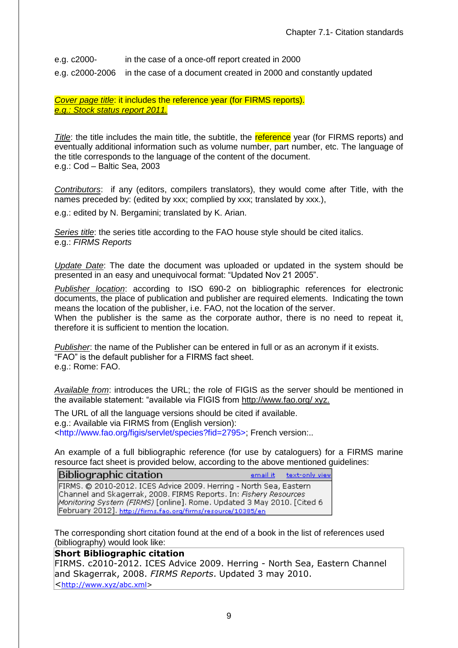e.g. c2000- in the case of a once-off report created in 2000

e.g. c2000-2006 in the case of a document created in 2000 and constantly updated

*Cover page title*: it includes the reference year (for FIRMS reports). *e.g.: Stock status report 2011.*

*Title*: the title includes the main title, the subtitle, the reference year (for FIRMS reports) and eventually additional information such as volume number, part number, etc. The language of the title corresponds to the language of the content of the document. e.g.: Cod – Baltic Sea, 2003

*Contributors*: if any (editors, compilers translators), they would come after Title, with the names preceded by: (edited by xxx; complied by xxx; translated by xxx.),

e.g.: edited by N. Bergamini; translated by K. Arian.

*Series title*: the series title according to the FAO house style should be cited italics. e.g.: *FIRMS Reports*

*Update Date*: The date the document was uploaded or updated in the system should be presented in an easy and unequivocal format: "Updated Nov 21 2005".

*Publisher location*: according to ISO 690-2 on bibliographic references for electronic documents, the place of publication and publisher are required elements. Indicating the town means the location of the publisher, i.e. FAO, not the location of the server.

When the publisher is the same as the corporate author, there is no need to repeat it, therefore it is sufficient to mention the location.

*Publisher*: the name of the Publisher can be entered in full or as an acronym if it exists. "FAO" is the default publisher for a FIRMS fact sheet. e.g.: Rome: FAO.

*Available from*: introduces the URL; the role of FIGIS as the server should be mentioned in the available statement: "available via FIGIS from<http://www.fao.org/> xyz.

The URL of all the language versions should be cited if available. e.g.: Available via FIRMS from (English version): <http://www.fao.org/figis/servlet/species?fid=2795>; French version:..

An example of a full bibliographic reference (for use by cataloguers) for a FIRMS marine resource fact sheet is provided below, according to the above mentioned guidelines:

| Bibliographic citation                                                 |  | email it text-only view |
|------------------------------------------------------------------------|--|-------------------------|
| FIRMS. @ 2010-2012. ICES Advice 2009. Herring - North Sea, Eastern     |  |                         |
| Channel and Skagerrak, 2008. FIRMS Reports. In: Fishery Resources      |  |                         |
| Monitoring System (FIRMS) [online]. Rome. Updated 3 May 2010. [Cited 6 |  |                         |
| February 2012]. http://firms.fao.org/firms/resource/10385/en           |  |                         |

The corresponding short citation found at the end of a book in the list of references used (bibliography) would look like:

**Short Bibliographic citation**

FIRMS. c2010-2012. ICES Advice 2009. Herring - North Sea, Eastern Channel and Skagerrak, 2008. *FIRMS Reports*. Updated 3 may 2010. <[http://www.xyz/abc.xml>](http://www.xyz/abc.xml)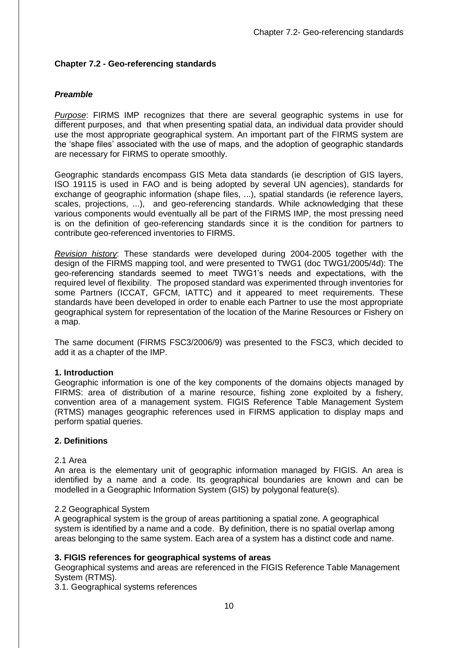# <span id="page-9-0"></span>**Chapter 7.2 - Geo-referencing standards**

# *Preamble*

*Purpose*: FIRMS IMP recognizes that there are several geographic systems in use for different purposes, and that when presenting spatial data, an individual data provider should use the most appropriate geographical system. An important part of the FIRMS system are the 'shape files' associated with the use of maps, and the adoption of geographic standards are necessary for FIRMS to operate smoothly.

Geographic standards encompass GIS Meta data standards (ie description of GIS layers, ISO 19115 is used in FAO and is being adopted by several UN agencies), standards for exchange of geographic information (shape files, ...), spatial standards (ie reference layers, scales, projections, ...), and geo-referencing standards. While acknowledging that these various components would eventually all be part of the FIRMS IMP, the most pressing need is on the definition of geo-referencing standards since it is the condition for partners to contribute geo-referenced inventories to FIRMS.

*Revision history*: These standards were developed during 2004-2005 together with the design of the FIRMS mapping tool, and were presented to TWG1 (doc TWG1/2005/4d): The geo-referencing standards seemed to meet TWG1's needs and expectations, with the required level of flexibility. The proposed standard was experimented through inventories for some Partners (ICCAT, GFCM, IATTC) and it appeared to meet requirements. These standards have been developed in order to enable each Partner to use the most appropriate geographical system for representation of the location of the Marine Resources or Fishery on a map.

The same document (FIRMS FSC3/2006/9) was presented to the FSC3, which decided to add it as a chapter of the IMP.

### **1. Introduction**

Geographic information is one of the key components of the domains objects managed by FIRMS: area of distribution of a marine resource, fishing zone exploited by a fishery, convention area of a management system. FIGIS Reference Table Management System (RTMS) manages geographic references used in FIRMS application to display maps and perform spatial queries.

#### **2. Definitions**

#### 2.1 Area

An area is the elementary unit of geographic information managed by FIGIS. An area is identified by a name and a code. Its geographical boundaries are known and can be modelled in a Geographic Information System (GIS) by polygonal feature(s).

#### 2.2 Geographical System

A geographical system is the group of areas partitioning a spatial zone. A geographical system is identified by a name and a code. By definition, there is no spatial overlap among areas belonging to the same system. Each area of a system has a distinct code and name.

### **3. FIGIS references for geographical systems of areas**

Geographical systems and areas are referenced in the FIGIS Reference Table Management System (RTMS).

3.1. Geographical systems references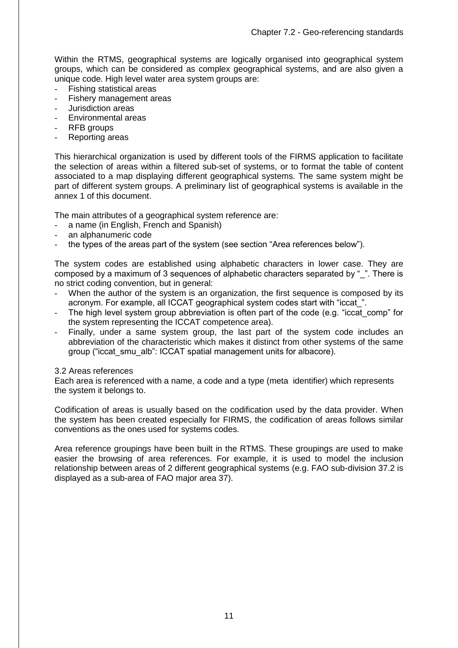Within the RTMS, geographical systems are logically organised into geographical system groups, which can be considered as complex geographical systems, and are also given a unique code. High level water area system groups are:

- Fishing statistical areas
- Fishery management areas
- Jurisdiction areas
- Environmental areas
- RFB groups
- Reporting areas

This hierarchical organization is used by different tools of the FIRMS application to facilitate the selection of areas within a filtered sub-set of systems, or to format the table of content associated to a map displaying different geographical systems. The same system might be part of different system groups. A preliminary list of geographical systems is available in the annex 1 of this document.

The main attributes of a geographical system reference are:

- a name (in English, French and Spanish)
- an alphanumeric code
- the types of the areas part of the system (see section "Area references below").

The system codes are established using alphabetic characters in lower case. They are composed by a maximum of 3 sequences of alphabetic characters separated by ". There is no strict coding convention, but in general:

- When the author of the system is an organization, the first sequence is composed by its acronym. For example, all ICCAT geographical system codes start with "iccat\_".
- The high level system group abbreviation is often part of the code (e.g. "iccat comp" for the system representing the ICCAT competence area).
- Finally, under a same system group, the last part of the system code includes an abbreviation of the characteristic which makes it distinct from other systems of the same group ("iccat\_smu\_alb": ICCAT spatial management units for albacore).

#### 3.2 Areas references

Each area is referenced with a name, a code and a type (meta identifier) which represents the system it belongs to.

Codification of areas is usually based on the codification used by the data provider. When the system has been created especially for FIRMS, the codification of areas follows similar conventions as the ones used for systems codes.

Area reference groupings have been built in the RTMS. These groupings are used to make easier the browsing of area references. For example, it is used to model the inclusion relationship between areas of 2 different geographical systems (e.g. FAO sub-division 37.2 is displayed as a sub-area of FAO major area 37).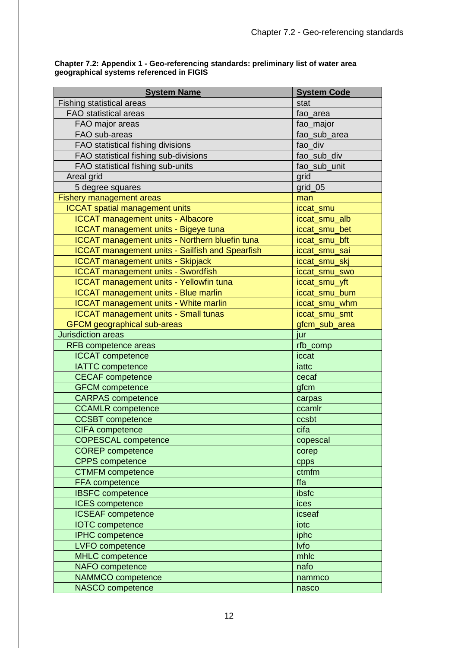| <b>System Name</b>                                     | <b>System Code</b> |
|--------------------------------------------------------|--------------------|
| <b>Fishing statistical areas</b>                       | stat               |
| <b>FAO</b> statistical areas                           | fao_area           |
| FAO major areas                                        | fao_major          |
| FAO sub-areas                                          | fao sub area       |
| FAO statistical fishing divisions                      | fao div            |
| FAO statistical fishing sub-divisions                  | fao_sub_div        |
| FAO statistical fishing sub-units                      | fao_sub_unit       |
| Areal grid                                             | grid               |
| 5 degree squares                                       | grid_05            |
| <b>Fishery management areas</b>                        | man                |
| <b>ICCAT</b> spatial management units                  | iccat_smu          |
| <b>ICCAT management units - Albacore</b>               | iccat_smu_alb      |
| <b>ICCAT</b> management units - Bigeye tuna            | iccat_smu_bet      |
| ICCAT management units - Northern bluefin tuna         | iccat_smu_bft      |
| <b>ICCAT management units - Sailfish and Spearfish</b> | iccat_smu_sai      |
| <b>ICCAT management units - Skipjack</b>               | iccat_smu_skj      |
| <b>ICCAT management units - Swordfish</b>              | iccat_smu_swo      |
| <b>ICCAT</b> management units - Yellowfin tuna         | iccat_smu_yft      |
| <b>ICCAT management units - Blue marlin</b>            | iccat_smu_bum      |
| <b>ICCAT management units - White marlin</b>           | iccat_smu_whm      |
| <b>ICCAT management units - Small tunas</b>            | iccat_smu_smt      |
| <b>GFCM</b> geographical sub-areas                     | gfcm_sub_area      |
| <b>Jurisdiction areas</b>                              | jur                |
| <b>RFB</b> competence areas                            | rfb_comp           |
| <b>ICCAT</b> competence                                | iccat              |
| <b>IATTC</b> competence                                | iattc              |
| <b>CECAF</b> competence                                | cecaf              |
| <b>GFCM</b> competence                                 | gfcm               |
| <b>CARPAS</b> competence                               | carpas             |
| <b>CCAMLR</b> competence                               | ccamlr             |
| <b>CCSBT</b> competence                                | ccsbt              |
| CIFA competence                                        | cifa               |
| <b>COPESCAL competence</b>                             | copescal           |
| <b>COREP</b> competence                                | corep              |
| <b>CPPS</b> competence                                 | cpps               |
| <b>CTMFM</b> competence                                | ctmfm              |
| FFA competence                                         | ffa                |
| <b>IBSFC</b> competence                                | ibsfc              |
| <b>ICES</b> competence                                 | ices               |
| <b>ICSEAF</b> competence                               | icseaf             |
| <b>IOTC</b> competence                                 | iotc               |
| <b>IPHC</b> competence                                 | iphc               |
| LVFO competence                                        | <b>lvfo</b>        |
| <b>MHLC</b> competence                                 | mhlc               |
| <b>NAFO</b> competence                                 | nafo               |
| <b>NAMMCO</b> competence                               | nammco             |
| <b>NASCO</b> competence                                | nasco              |

#### **Chapter 7.2: Appendix 1 - Geo-referencing standards: preliminary list of water area geographical systems referenced in FIGIS**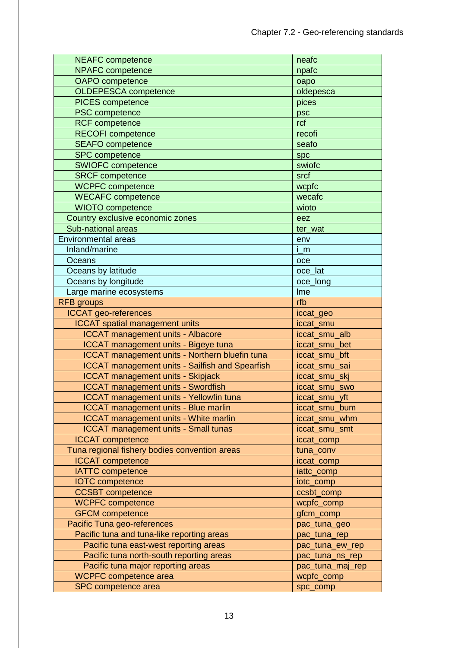| <b>NEAFC</b> competence                                    | neafc                  |
|------------------------------------------------------------|------------------------|
| <b>NPAFC</b> competence                                    | npafc                  |
| <b>OAPO</b> competence                                     | oapo                   |
| <b>OLDEPESCA competence</b>                                | oldepesca              |
| <b>PICES</b> competence                                    | pices                  |
| <b>PSC</b> competence                                      | psc                    |
| <b>RCF</b> competence                                      | rcf                    |
| <b>RECOFI</b> competence                                   | recofi                 |
| <b>SEAFO</b> competence                                    | seafo                  |
| <b>SPC</b> competence                                      | spc                    |
| <b>SWIOFC competence</b>                                   | swiofc                 |
| <b>SRCF</b> competence                                     | srcf                   |
| <b>WCPFC</b> competence                                    | wcpfc                  |
| <b>WECAFC</b> competence                                   | wecafc                 |
| <b>WIOTO</b> competence                                    | wioto                  |
| Country exclusive economic zones                           | eez                    |
| Sub-national areas                                         | ter wat                |
| <b>Environmental areas</b>                                 | env                    |
| Inland/marine                                              | $i$ <sub>m</sub>       |
| Oceans                                                     | $_{\rm oce}$           |
| Oceans by latitude                                         | oce_lat                |
| Oceans by longitude                                        | oce_long               |
| Large marine ecosystems                                    | Ime                    |
| <b>RFB</b> groups                                          | rfb                    |
| <b>ICCAT</b> geo-references                                |                        |
| <b>ICCAT</b> spatial management units                      | iccat_geo<br>iccat_smu |
|                                                            |                        |
|                                                            |                        |
| <b>ICCAT management units - Albacore</b>                   | iccat_smu_alb          |
| <b>ICCAT</b> management units - Bigeye tuna                | iccat_smu_bet          |
| <b>ICCAT management units - Northern bluefin tuna</b>      | iccat_smu_bft          |
| <b>ICCAT management units - Sailfish and Spearfish</b>     | iccat_smu_sai          |
| <b>ICCAT management units - Skipjack</b>                   | iccat smu ski          |
| <b>ICCAT management units - Swordfish</b>                  | iccat smu swo          |
| <b>ICCAT management units - Yellowfin tuna</b>             | iccat_smu_yft          |
| <b>ICCAT management units - Blue marlin</b>                | iccat_smu_bum          |
| <b>ICCAT</b> management units - White marlin               | iccat_smu_whm          |
| <b>ICCAT</b> management units - Small tunas                | iccat_smu_smt          |
| <b>ICCAT</b> competence                                    | iccat_comp             |
| Tuna regional fishery bodies convention areas              | tuna_conv              |
| <b>ICCAT</b> competence                                    | iccat_comp             |
| <b>IATTC</b> competence                                    | iattc_comp             |
| <b>IOTC</b> competence                                     | iotc_comp              |
| <b>CCSBT</b> competence                                    | ccsbt_comp             |
| <b>WCPFC</b> competence                                    | wcpfc_comp             |
| <b>GFCM</b> competence                                     | gfcm_comp              |
| Pacific Tuna geo-references                                | pac_tuna_geo           |
| Pacific tuna and tuna-like reporting areas                 | pac_tuna_rep           |
| Pacific tuna east-west reporting areas                     | pac_tuna_ew_rep        |
| Pacific tuna north-south reporting areas                   | pac_tuna_ns_rep        |
| Pacific tuna major reporting areas                         | pac_tuna_maj_rep       |
| <b>WCPFC</b> competence area<br><b>SPC</b> competence area | wcpfc_comp<br>spc_comp |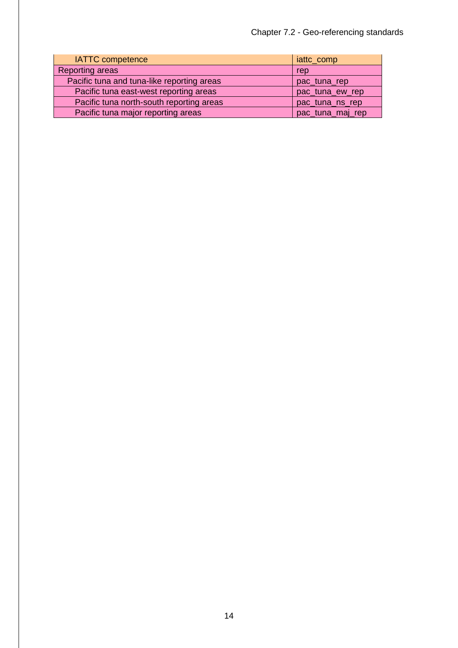| <b>IATTC</b> competence                    | iattc_comp       |
|--------------------------------------------|------------------|
| <b>Reporting areas</b>                     | rep              |
| Pacific tuna and tuna-like reporting areas | pac_tuna_rep     |
| Pacific tuna east-west reporting areas     | pac_tuna_ew_rep  |
| Pacific tuna north-south reporting areas   | pac_tuna_ns_rep  |
| Pacific tuna major reporting areas         | pac_tuna_maj_rep |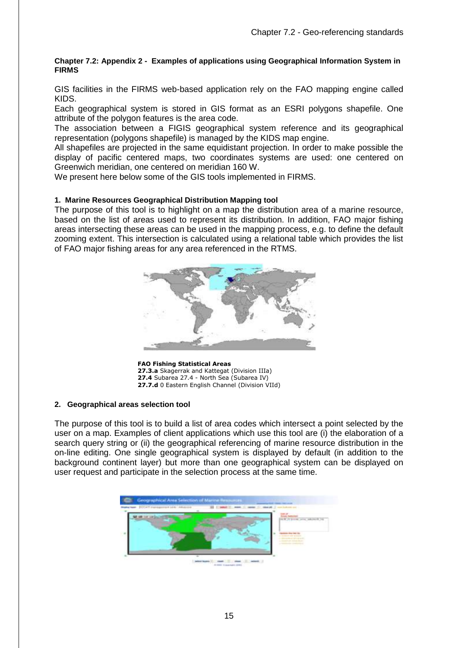#### **Chapter 7.2: Appendix 2 - Examples of applications using Geographical Information System in FIRMS**

GIS facilities in the FIRMS web-based application rely on the FAO mapping engine called KIDS.

Each geographical system is stored in GIS format as an ESRI polygons shapefile. One attribute of the polygon features is the area code.

The association between a FIGIS geographical system reference and its geographical representation (polygons shapefile) is managed by the KIDS map engine.

All shapefiles are projected in the same equidistant projection. In order to make possible the display of pacific centered maps, two coordinates systems are used: one centered on Greenwich meridian, one centered on meridian 160 W.

We present here below some of the GIS tools implemented in FIRMS.

#### **1. Marine Resources Geographical Distribution Mapping tool**

The purpose of this tool is to highlight on a map the distribution area of a marine resource, based on the list of areas used to represent its distribution. In addition, FAO major fishing areas intersecting these areas can be used in the mapping process, e.g. to define the default zooming extent. This intersection is calculated using a relational table which provides the list of FAO major fishing areas for any area referenced in the RTMS.



**FAO Fishing Statistical Areas 27.3.a** Skagerrak and Kattegat (Division IIIa) **27.4** Subarea 27.4 - North Sea (Subarea IV) **27.7.d** 0 Eastern English Channel (Division VIId)

#### **2. Geographical areas selection tool**

The purpose of this tool is to build a list of area codes which intersect a point selected by the user on a map. Examples of client applications which use this tool are (i) the elaboration of a search query string or (ii) the geographical referencing of marine resource distribution in the on-line editing. One single geographical system is displayed by default (in addition to the background continent layer) but more than one geographical system can be displayed on user request and participate in the selection process at the same time.

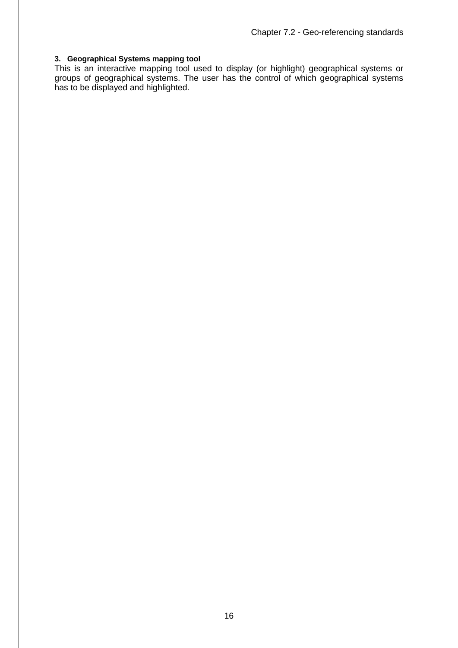#### **3. Geographical Systems mapping tool**

This is an interactive mapping tool used to display (or highlight) geographical systems or groups of geographical systems. The user has the control of which geographical systems has to be displayed and highlighted.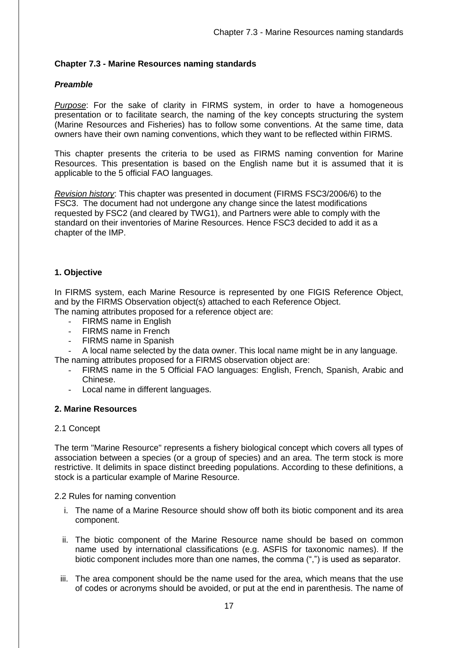# <span id="page-16-0"></span>**Chapter 7.3 - Marine Resources naming standards**

# *Preamble*

*Purpose*: For the sake of clarity in FIRMS system, in order to have a homogeneous presentation or to facilitate search, the naming of the key concepts structuring the system (Marine Resources and Fisheries) has to follow some conventions. At the same time, data owners have their own naming conventions, which they want to be reflected within FIRMS.

This chapter presents the criteria to be used as FIRMS naming convention for Marine Resources. This presentation is based on the English name but it is assumed that it is applicable to the 5 official FAO languages.

*Revision history*: This chapter was presented in document (FIRMS FSC3/2006/6) to the FSC3. The document had not undergone any change since the latest modifications requested by FSC2 (and cleared by TWG1), and Partners were able to comply with the standard on their inventories of Marine Resources. Hence FSC3 decided to add it as a chapter of the IMP.

# **1. Objective**

In FIRMS system, each Marine Resource is represented by one FIGIS Reference Object, and by the FIRMS Observation object(s) attached to each Reference Object.

The naming attributes proposed for a reference object are:

- FIRMS name in English
- FIRMS name in French
- FIRMS name in Spanish

- A local name selected by the data owner. This local name might be in any language.

- The naming attributes proposed for a FIRMS observation object are:
	- FIRMS name in the 5 Official FAO languages: English, French, Spanish, Arabic and Chinese.
	- Local name in different languages.

### **2. Marine Resources**

### 2.1 Concept

The term "Marine Resource" represents a fishery biological concept which covers all types of association between a species (or a group of species) and an area. The term stock is more restrictive. It delimits in space distinct breeding populations. According to these definitions, a stock is a particular example of Marine Resource.

2.2 Rules for naming convention

- i. The name of a Marine Resource should show off both its biotic component and its area component.
- ii. The biotic component of the Marine Resource name should be based on common name used by international classifications (e.g. ASFIS for taxonomic names). If the biotic component includes more than one names, the comma (",") is used as separator.
- iii. The area component should be the name used for the area, which means that the use of codes or acronyms should be avoided, or put at the end in parenthesis. The name of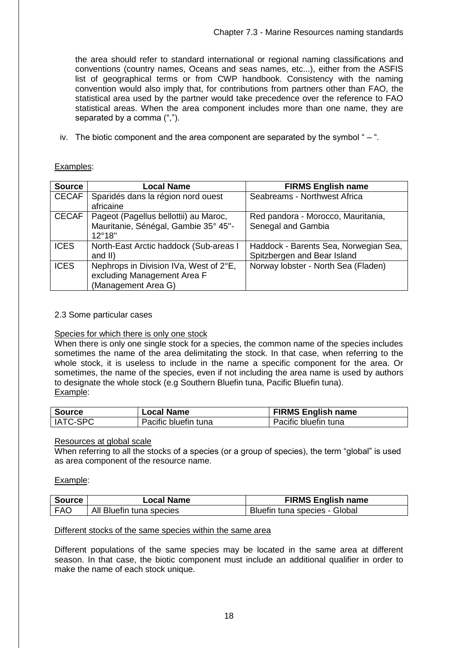the area should refer to standard international or regional naming classifications and conventions (country names, Oceans and seas names, etc...), either from the ASFIS list of geographical terms or from CWP handbook. Consistency with the naming convention would also imply that, for contributions from partners other than FAO, the statistical area used by the partner would take precedence over the reference to FAO statistical areas. When the area component includes more than one name, they are separated by a comma (",").

iv. The biotic component and the area component are separated by the symbol  $-$ .

# Examples:

| <b>Source</b> | <b>Local Name</b>                      | <b>FIRMS English name</b>             |
|---------------|----------------------------------------|---------------------------------------|
| <b>CECAF</b>  | Sparidés dans la région nord ouest     | Seabreams - Northwest Africa          |
|               | africaine                              |                                       |
| <b>CECAF</b>  | Pageot (Pagellus bellottii) au Maroc,  | Red pandora - Morocco, Mauritania,    |
|               | Mauritanie, Sénégal, Gambie 35° 45"-   | Senegal and Gambia                    |
|               | $12^{\circ}18$ "                       |                                       |
| <b>ICES</b>   | North-East Arctic haddock (Sub-areas I | Haddock - Barents Sea, Norwegian Sea, |
|               | and II)                                | Spitzbergen and Bear Island           |
| <b>ICES</b>   | Nephrops in Division IVa, West of 2°E, | Norway lobster - North Sea (Fladen)   |
|               | excluding Management Area F            |                                       |
|               | (Management Area G)                    |                                       |

### 2.3 Some particular cases

### Species for which there is only one stock

When there is only one single stock for a species, the common name of the species includes sometimes the name of the area delimitating the stock. In that case, when referring to the whole stock, it is useless to include in the name a specific component for the area. Or sometimes, the name of the species, even if not including the area name is used by authors to designate the whole stock (e.g Southern Bluefin tuna, Pacific Bluefin tuna). Example:

| <b>Source</b> | <b>Local Name</b>    | <b>FIRMS English name</b> |
|---------------|----------------------|---------------------------|
| IATC-SPC      | Pacific bluefin tuna | Pacific bluefin tuna      |

### Resources at global scale

When referring to all the stocks of a species (or a group of species), the term "global" is used as area component of the resource name.

Example:

| Source     | Local Name               | <b>FIRMS English name</b>     |
|------------|--------------------------|-------------------------------|
| <b>FAC</b> | All Bluefin tuna species | Bluefin tuna species - Global |

# Different stocks of the same species within the same area

Different populations of the same species may be located in the same area at different season. In that case, the biotic component must include an additional qualifier in order to make the name of each stock unique.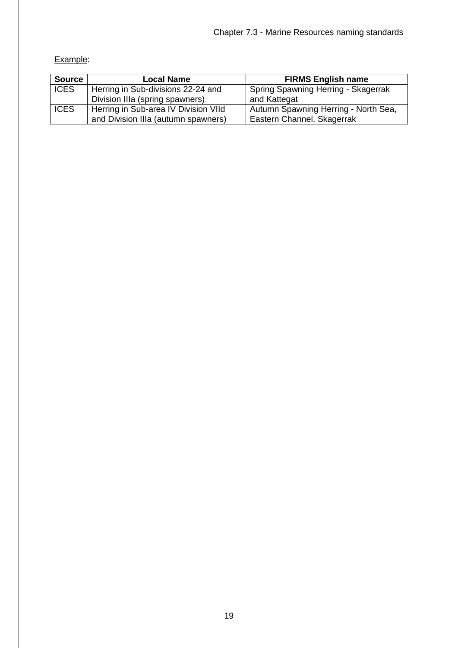# Example:

| <b>Source</b> | <b>Local Name</b>                    | <b>FIRMS English name</b>            |
|---------------|--------------------------------------|--------------------------------------|
| <b>ICES</b>   | Herring in Sub-divisions 22-24 and   | Spring Spawning Herring - Skagerrak  |
|               | Division IIIa (spring spawners)      | and Kattegat                         |
| <b>ICES</b>   | Herring in Sub-area IV Division VIId | Autumn Spawning Herring - North Sea, |
|               | and Division IIIa (autumn spawners)  | Eastern Channel, Skagerrak           |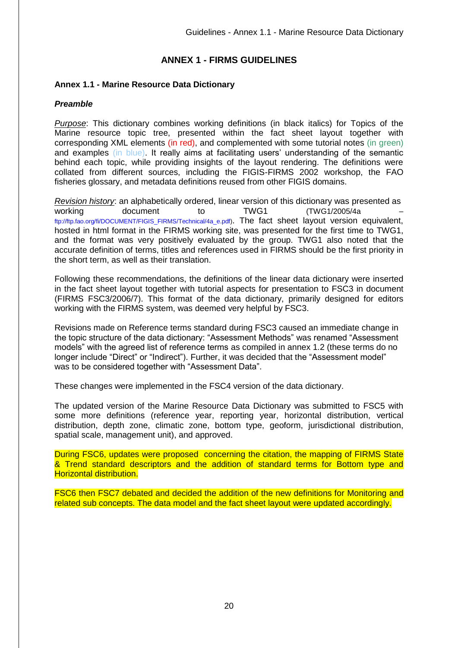# **ANNEX 1 - FIRMS GUIDELINES**

# <span id="page-19-1"></span><span id="page-19-0"></span>**Annex 1.1 - Marine Resource Data Dictionary**

# *Preamble*

*Purpose*: This dictionary combines working definitions (in black italics) for Topics of the Marine resource topic tree, presented within the fact sheet layout together with corresponding XML elements (in red), and complemented with some tutorial notes (in green) and examples (in blue). It really aims at facilitating users' understanding of the semantic behind each topic, while providing insights of the layout rendering. The definitions were collated from different sources, including the FIGIS-FIRMS 2002 workshop, the FAO fisheries glossary, and metadata definitions reused from other FIGIS domains.

*Revision history*: an alphabetically ordered, linear version of this dictionary was presented as working document to TWG1 (TWG1/2005/4a ftp://ftp.fao.org/fi/DOCUMENT/FIGIS\_FIRMS/Technical/4a\_e.pdf). The fact sheet layout version equivalent, hosted in html format in the FIRMS working site, was presented for the first time to TWG1, and the format was very positively evaluated by the group. TWG1 also noted that the accurate definition of terms, titles and references used in FIRMS should be the first priority in the short term, as well as their translation.

Following these recommendations, the definitions of the linear data dictionary were inserted in the fact sheet layout together with tutorial aspects for presentation to FSC3 in document (FIRMS FSC3/2006/7). This format of the data dictionary, primarily designed for editors working with the FIRMS system, was deemed very helpful by FSC3.

Revisions made on Reference terms standard during FSC3 caused an immediate change in the topic structure of the data dictionary: "Assessment Methods" was renamed "Assessment models" with the agreed list of reference terms as compiled in annex 1.2 (these terms do no longer include "Direct" or "Indirect"). Further, it was decided that the "Assessment model" was to be considered together with "Assessment Data".

These changes were implemented in the FSC4 version of the data dictionary.

The updated version of the Marine Resource Data Dictionary was submitted to FSC5 with some more definitions (reference year, reporting year, horizontal distribution, vertical distribution, depth zone, climatic zone, bottom type, geoform, jurisdictional distribution, spatial scale, management unit), and approved.

During FSC6, updates were proposed concerning the citation, the mapping of FIRMS State & Trend standard descriptors and the addition of standard terms for Bottom type and Horizontal distribution.

FSC6 then FSC7 debated and decided the addition of the new definitions for Monitoring and related sub concepts. The data model and the fact sheet layout were updated accordingly.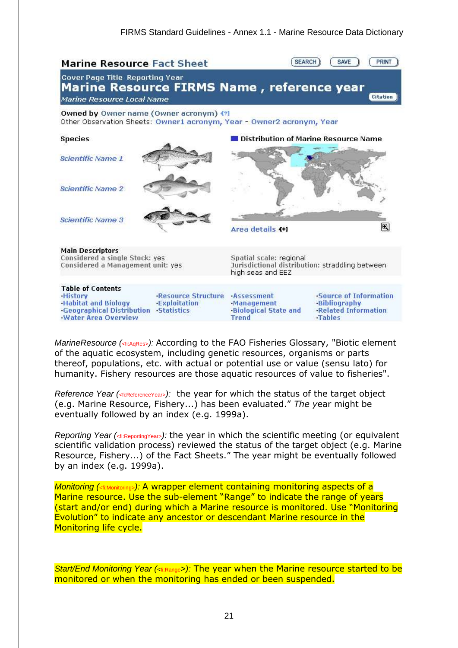

*MarineResource (*<fi:AqRes>*):* According to the FAO Fisheries Glossary, "Biotic element of the aquatic ecosystem, including genetic resources, organisms or parts thereof, populations, etc. with actual or potential use or value (sensu lato) for humanity. Fishery resources are those aquatic resources of value to fisheries".

*Reference Year (<fi:ReferenceYear>):* the year for which the status of the target object (e.g. Marine Resource, Fishery...) has been evaluated." *The y*ear might be eventually followed by an index (e.g. 1999a).

*Reporting Year (*<fi:ReportingYear>*):* the year in which the scientific meeting (or equivalent scientific validation process) reviewed the status of the target object (e.g. Marine Resource, Fishery...) of the Fact Sheets." The year might be eventually followed by an index (e.g. 1999a).

*Monitoring (<fi:Monitoring>):* A wrapper element containing monitoring aspects of a Marine resource. Use the sub-element "Range" to indicate the range of years (start and/or end) during which a Marine resource is monitored. Use "Monitoring Evolution" to indicate any ancestor or descendant Marine resource in the Monitoring life cycle.

*Start/End Monitoring Year (<*fi:Range*>):* The year when the Marine resource started to be monitored or when the monitoring has ended or been suspended.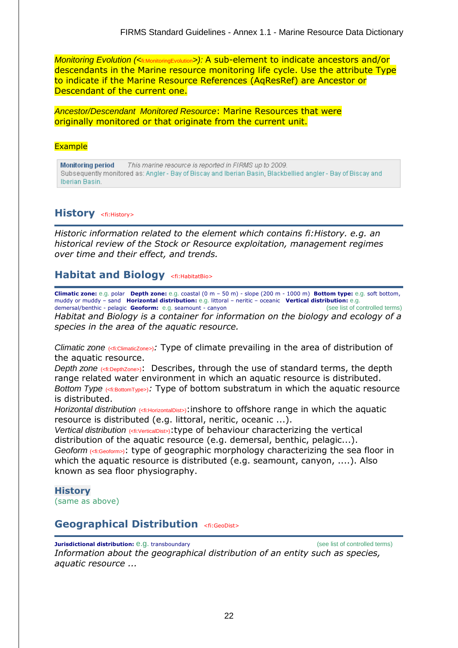*Monitoring Evolution (<fi:MonitoringEvolution>):* A sub-element to indicate ancestors and/or descendants in the Marine resource monitoring life cycle. Use the attribute Type to indicate if the Marine Resource References (AqResRef) are Ancestor or Descendant of the current one.

*Ancestor/Descendant Monitored Resource*: Marine Resources that were originally monitored or that originate from the current unit.

#### **Example**

This marine resource is reported in FIRMS up to 2009. **Monitoring period** Subsequently monitored as: Angler - Bay of Biscay and Iberian Basin, Blackbellied angler - Bay of Biscay and Iberian Basin.

# **History** <fi:History>

*Historic information related to the element which contains fi:History. e.g. an historical review of the Stock or Resource exploitation, management regimes over time and their effect, and trends.* 

# **Habitat and Biology** <fi:HabitatBio>

**Climatic zone:** e.g. polar **Depth zone:** e.g. coastal (0 m – 50 m) - slope (200 m - 1000 m) **Bottom type:** e.g. soft bottom, muddy or muddy – sand **Horizontal distribution:** e.g. littoral – neritic – oceanic **Vertical distribution:** e.g. demersal/benthic - pelagic **Geoform:** e.g. seamount - canyon

*Habitat and Biology is a container for information on the biology and ecology of a species in the area of the aquatic resource.*

*Climatic zone* (<fi:ClimaticZone>)*:* Type of climate prevailing in the area of distribution of the aquatic resource.

*Depth zone* ( $\text{dipeth}$ *zone*>): Describes, through the use of standard terms, the depth range related water environment in which an aquatic resource is distributed. *Bottom Type* ( $\epsilon$ fi:BottomType>): Type of bottom substratum in which the aquatic resource is distributed.

*Horizontal distribution* (<fi:HorizontalDist>): inshore to offshore range in which the aquatic resource is distributed (e.g. littoral, neritic, oceanic ...).

*Vertical distribution* (<fi:VerticalDist>):type of behaviour characterizing the vertical distribution of the aquatic resource (e.g. demersal, benthic, pelagic...). *Geoform* (<fi:Geoform>): type of geographic morphology characterizing the sea floor in which the aquatic resource is distributed (e.g. seamount, canyon, ....). Also known as sea floor physiography.

# **History**

(same as above)

# **Geographical Distribution <fi:GeoDist>**

**Jurisdictional distribution:** e.g. transboundary **and the controlled terms** (see list of controlled terms) *Information about the geographical distribution of an entity such as species, aquatic resource ...*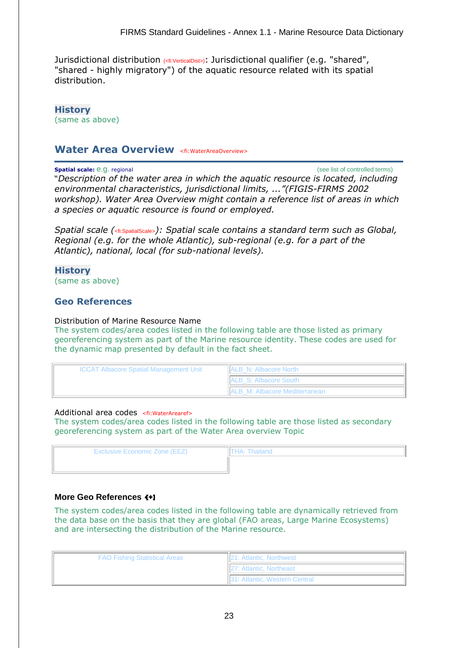Jurisdictional distribution (<fi:VerticalDist>): Jurisdictional qualifier (e.g. "shared", "shared - highly migratory") of the aquatic resource related with its spatial distribution.

**History** (same as above)

# Water Area Overview <fi:WaterAreaOverview>

**Spatial scale:** e.g. regional **Spatial scale:** e.g. regional scale: e.g. regional scale: e.g. regional scale: e.g. regional scale: e.g. regional scale: e.g. regional scale: e.g. regional scale: e.g. regional scale: e.g. r

"*Description of the water area in which the aquatic resource is located, including environmental characteristics, jurisdictional limits, ..."(FIGIS-FIRMS 2002 workshop). Water Area Overview might contain a reference list of areas in which a species or aquatic resource is found or employed.* 

*Spatial scale (*<fi:SpatialScale>*): Spatial scale contains a standard term such as Global, Regional (e.g. for the whole Atlantic), sub-regional (e.g. for a part of the Atlantic), national, local (for sub-national levels).*

**History**

(same as above)

# **Geo References**

#### Distribution of Marine Resource Name

The system codes/area codes listed in the following table are those listed as primary georeferencing system as part of the Marine resource identity. These codes are used for the dynamic map presented by default in the fact sheet.

| <b>ICCAT Albacore Spatial Management Unit</b> | <b>ALB N: Albacore North</b>          |
|-----------------------------------------------|---------------------------------------|
|                                               | <b>IALB S: Albacore South</b>         |
|                                               | <b>IALB M: Albacore Mediterranean</b> |

#### Additional area codes <fi:WaterArearef>

The system codes/area codes listed in the following table are those listed as secondary georeferencing system as part of the Water Area overview Topic

| <b>Exclusive Economic Zone (EEZ)</b> | THA: Thailand |
|--------------------------------------|---------------|
|                                      |               |
|                                      |               |

### **More Geo References**

The system codes/area codes listed in the following table are dynamically retrieved from the data base on the basis that they are global (FAO areas, Large Marine Ecosystems) and are intersecting the distribution of the Marine resource.

| <b>FAO Fishing Statistical Areas</b> | <b>21: Atlantic, Northwest</b>        |
|--------------------------------------|---------------------------------------|
|                                      | <b>127: Atlantic, Northeast</b>       |
|                                      | <b>131: Atlantic, Western Central</b> |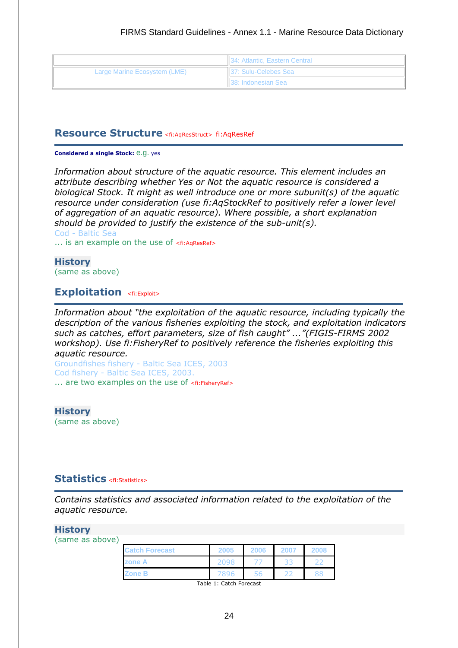|                              | 134: Atlantic, Eastern Central |
|------------------------------|--------------------------------|
| Large Marine Ecosystem (LME) | <b>137: Sulu-Celebes Sea</b>   |
|                              | <b>I</b> 38: Indonesian Sea    |

### **Resource Structure** <fi:AqResStruct> fi:AqResRef

#### **Considered a single Stock:** e.g. yes

*Information about structure of the aquatic resource. This element includes an attribute describing whether Yes or Not the aquatic resource is considered a biological Stock. It might as well introduce one or more subunit(s) of the aquatic resource under consideration (use fi:AqStockRef to positively refer a lower level of aggregation of an aquatic resource). Where possible, a short explanation should be provided to justify the existence of the sub-unit(s).*

Cod - Baltic Sea ... is an example on the use of <fi:AqResRef>

**History** (same as above)

# **Exploitation** <fi:Exploit>

*Information about "the exploitation of the aquatic resource, including typically the description of the various fisheries exploiting the stock, and exploitation indicators such as catches, effort parameters, size of fish caught" ..."(FIGIS-FIRMS 2002 workshop). Use fi:FisheryRef to positively reference the fisheries exploiting this aquatic resource.*

Groundfishes fishery - Baltic Sea ICES, 2003 Cod fishery - Baltic Sea ICES, 2003. ... are two examples on the use of <fi:FisheryRef>

**History** (same as above)

# **Statistics** <fi:Statistics>

*Contains statistics and associated information related to the exploitation of the aquatic resource.*

#### **History**

(same as above)

| <b>Catch Forecast</b> | 2005 | 2006 | 2007 | 2008 |
|-----------------------|------|------|------|------|
| zone A                | 2098 |      | 33   |      |
| <b>Zone B</b>         | 7896 |      |      |      |

Table 1: Catch Forecast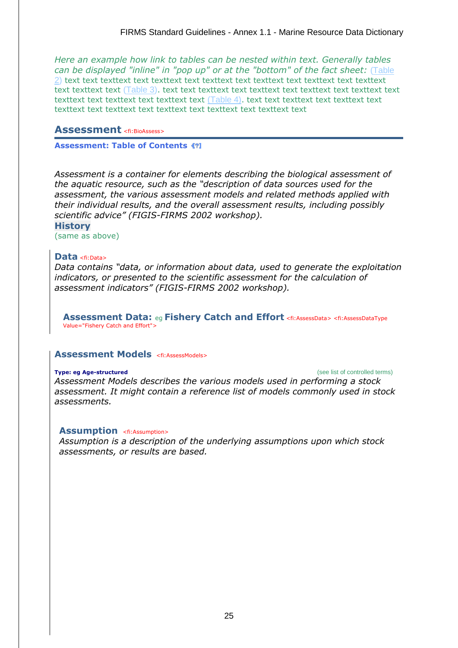*Here an example how link to tables can be nested within text. Generally tables can be displayed "inline" in "pop up" or at the "bottom" of the fact sheet:* [\(Table](http://figis02:8181/fi/figis/firms_test/firmspartner_year_speciesname.html#table2#table2)  [2\)](http://figis02:8181/fi/figis/firms_test/firmspartner_year_speciesname.html#table2#table2) text text texttext text texttext text texttext text texttext text texttext text texttext text texttext text [\(Table 3\)](http://figis02:8181/fi/figis/firms_test/firmspartner_year_speciesname.html#table3#table3). text text texttext text texttext text texttext text texttext text texttext text texttext text texttext text [\(Table 4\)](http://figis02:8181/fi/figis/firms_test/firmspartner_year_speciesname.html#table4#table4). text text texttext text texttext text texttext text texttext text texttext text texttext text texttext text

# **Assessment** <fi:BioAssess>

### **Assessment: Table of Contents**

*Assessment is a container for elements describing the biological assessment of the aquatic resource, such as the "description of data sources used for the assessment, the various assessment models and related methods applied with their individual results, and the overall assessment results, including possibly scientific advice" (FIGIS-FIRMS 2002 workshop).*

#### **History**

(same as above)

# **Data** <fi:Data>

*Data contains "data, or information about data, used to generate the exploitation indicators, or presented to the scientific assessment for the calculation of assessment indicators" (FIGIS-FIRMS 2002 workshop).*

**Assessment Data:** eg **Fishery Catch and Effort** <fi:AssessData> <fi:AssessDataType Value="Fishery Catch and Effort">

### **Assessment Models** <fi:AssessModels>

# **Type: eg Age-structured Type: eg Age-structured (see list of controlled terms)** *Assessment Models describes the various models used in performing a stock assessment. It might contain a reference list of models commonly used in stock assessments.*

### **Assumption** <fi:Assumption>

*Assumption is a description of the underlying assumptions upon which stock assessments, or results are based.*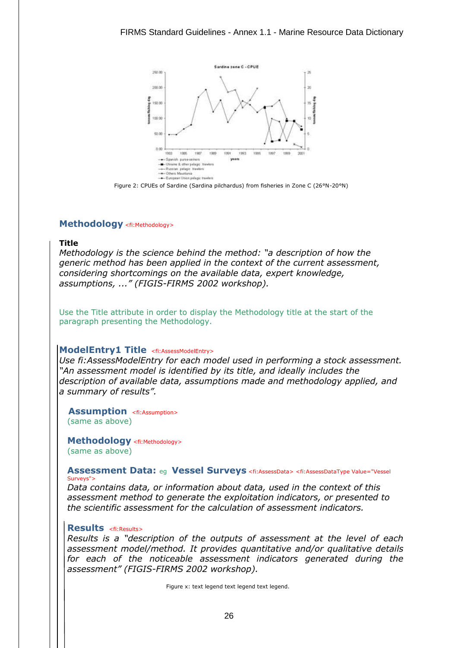

Figure 2: CPUEs of Sardine (Sardina pilchardus) from fisheries in Zone C (26°N-20°N)

#### **Methodology** <fi:Methodology>

#### **Title**

*Methodology is the science behind the method: "a description of how the generic method has been applied in the context of the current assessment, considering shortcomings on the available data, expert knowledge, assumptions, ..." (FIGIS-FIRMS 2002 workshop).*

Use the Title attribute in order to display the Methodology title at the start of the paragraph presenting the Methodology.

#### **ModelEntry1 Title** <fi:AssessModelEntry>

*Use fi:AssessModelEntry for each model used in performing a stock assessment. "An assessment model is identified by its title, and ideally includes the description of available data, assumptions made and methodology applied, and a summary of results".*

**Assumption** <fi:Assumption> (same as above)

**Methodology** <fi:Methodology> (same as above)

#### **Assessment Data:** eg **Vessel Surveys** <fi:AssessData> <fi:AssessDataType Value="Vessel Surveys":

*Data contains data, or information about data, used in the context of this assessment method to generate the exploitation indicators, or presented to the scientific assessment for the calculation of assessment indicators.*

#### **Results** <fi:Results>

*Results is a "description of the outputs of assessment at the level of each assessment model/method. It provides quantitative and/or qualitative details for each of the noticeable assessment indicators generated during the assessment" (FIGIS-FIRMS 2002 workshop).* 

Figure x: text legend text legend text legend.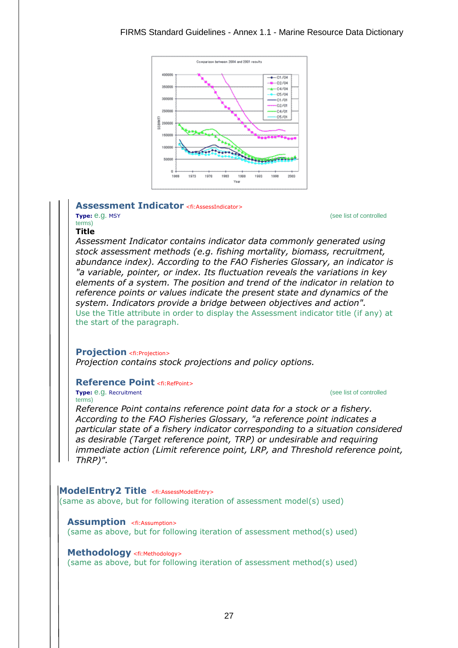

#### **Assessment Indicator** <fi:AssessIndicator>

terms)

**Type:** e.g. MSY (see list of controlled

### **Title**

*Assessment Indicator contains indicator data commonly generated using stock assessment methods (e.g. fishing mortality, biomass, recruitment, abundance index). According to the FAO Fisheries Glossary, an indicator is "a variable, pointer, or index. Its fluctuation reveals the variations in key elements of a system. The position and trend of the indicator in relation to reference points or values indicate the present state and dynamics of the system. Indicators provide a bridge between objectives and action".* Use the Title attribute in order to display the Assessment indicator title (if any) at the start of the paragraph.

#### **Projection** <fi:Projection>

*Projection contains stock projections and policy options.*

### **Reference Point <fi:RefPoint>**

**Type:** e.g. Recruitment **Type:** e.g. Recruitment **CONSISTING CONTROL** terms)

*Reference Point contains reference point data for a stock or a fishery. According to the FAO Fisheries Glossary, "a reference point indicates a particular state of a fishery indicator corresponding to a situation considered as desirable (Target reference point, TRP) or undesirable and requiring immediate action (Limit reference point, LRP, and Threshold reference point, ThRP)".*

**ModelEntry2 Title** <fi:AssessModelEntry> (same as above, but for following iteration of assessment model(s) used)

**Assumption** <fi:Assumption> (same as above, but for following iteration of assessment method(s) used)

**Methodology** <fi:Methodology> (same as above, but for following iteration of assessment method(s) used)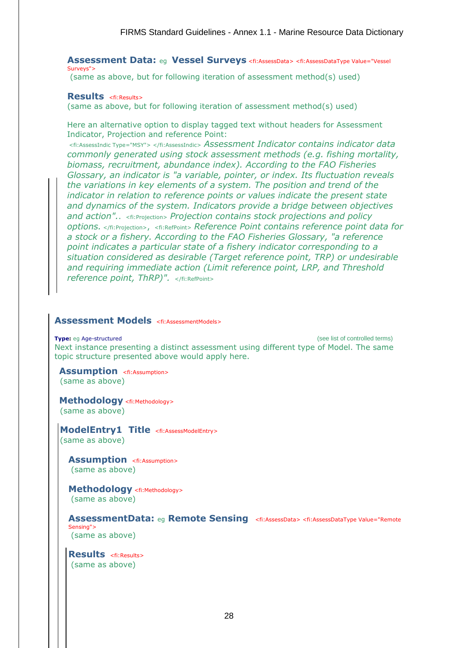**Assessment Data:** eg **Vessel Surveys** <fi:AssessData> <fi:AssessDataType Value="Vessel Surveys":

(same as above, but for following iteration of assessment method(s) used)

#### **Results** <fi:Results>

(same as above, but for following iteration of assessment method(s) used)

Here an alternative option to display tagged text without headers for Assessment Indicator, Projection and reference Point:

<fi:AssessIndic Type="MSY"> </fi:AssessIndic> *Assessment Indicator contains indicator data commonly generated using stock assessment methods (e.g. fishing mortality, biomass, recruitment, abundance index). According to the FAO Fisheries Glossary, an indicator is "a variable, pointer, or index. Its fluctuation reveals the variations in key elements of a system. The position and trend of the indicator in relation to reference points or values indicate the present state and dynamics of the system. Indicators provide a bridge between objectives and action".*. <fi:Projection> *Projection contains stock projections and policy options.* </fi:Projection>, <fi:RefPoint> *Reference Point contains reference point data for a stock or a fishery. According to the FAO Fisheries Glossary, "a reference point indicates a particular state of a fishery indicator corresponding to a situation considered as desirable (Target reference point, TRP) or undesirable and requiring immediate action (Limit reference point, LRP, and Threshold reference point, ThRP)".* </fi:RefPoint>

# Assessment Models <fi:AssessmentModels>

**Type:** eq Age-structured **Controlled terms**) **Type:** eq Age-structured **Controlled terms** Next instance presenting a distinct assessment using different type of Model. The same topic structure presented above would apply here.

**Assumption** <fi:Assumption> (same as above)

**Methodology** <fi:Methodology> (same as above)

ModelEntry1 Title <fi:AssessModelEntry> (same as above)

**Assumption** <fi:Assumption> (same as above)

**Methodology** <fi:Methodology> (same as above)

**AssessmentData:** eg **Remote Sensing** <fi:AssessData> <fi:AssessDataType Value="Remote Sensing"> (same as above)

**Results** <fi:Results> (same as above)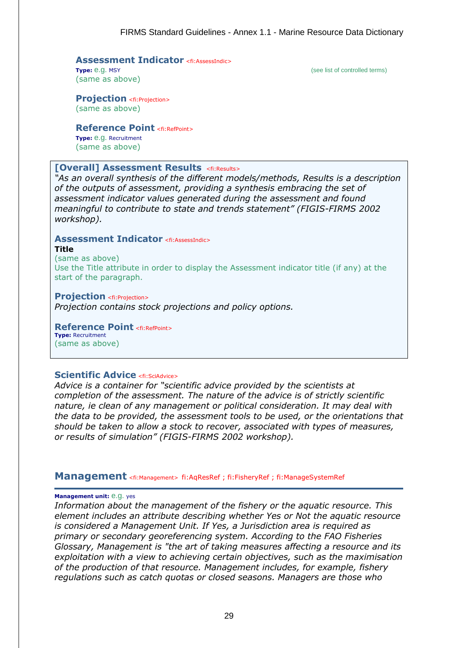# **Assessment Indicator** <fi:AssessIndic>Type: e.g. MSY

(same as above)

(see list of controlled terms)

**Projection** <fi: Projection> (same as above)

**Reference Point** <fi:RefPoint> **Type:** e.g. Recruitment

(same as above)

# **[Overall] Assessment Results <fi:Results>**

*"As an overall synthesis of the different models/methods, Results is a description of the outputs of assessment, providing a synthesis embracing the set of assessment indicator values generated during the assessment and found meaningful to contribute to state and trends statement" (FIGIS-FIRMS 2002 workshop).*

#### **Assessment Indicator** <fi:AssessIndic> **Title**

(same as above) Use the Title attribute in order to display the Assessment indicator title (if any) at the start of the paragraph.

**Projection** <fi: Projection> *Projection contains stock projections and policy options.*

**Reference Point** <fi:RefPoint> **Type:** Recruitment (same as above)

# **Scientific Advice <fi:SciAdvice>**

*Advice is a container for "scientific advice provided by the scientists at completion of the assessment. The nature of the advice is of strictly scientific nature, ie clean of any management or political consideration. It may deal with the data to be provided, the assessment tools to be used, or the orientations that should be taken to allow a stock to recover, associated with types of measures, or results of simulation" (FIGIS-FIRMS 2002 workshop).*

**Management** <fi:Management> fi:AqResRef ; fi:FisheryRef ; fi:ManageSystemRef

### **Management unit:** e.g. yes

*Information about the management of the fishery or the aquatic resource. This element includes an attribute describing whether Yes or Not the aquatic resource is considered a Management Unit. If Yes, a Jurisdiction area is required as primary or secondary georeferencing system. According to the FAO Fisheries Glossary, Management is "the art of taking measures affecting a resource and its exploitation with a view to achieving certain objectives, such as the maximisation of the production of that resource. Management includes, for example, fishery regulations such as catch quotas or closed seasons. Managers are those who*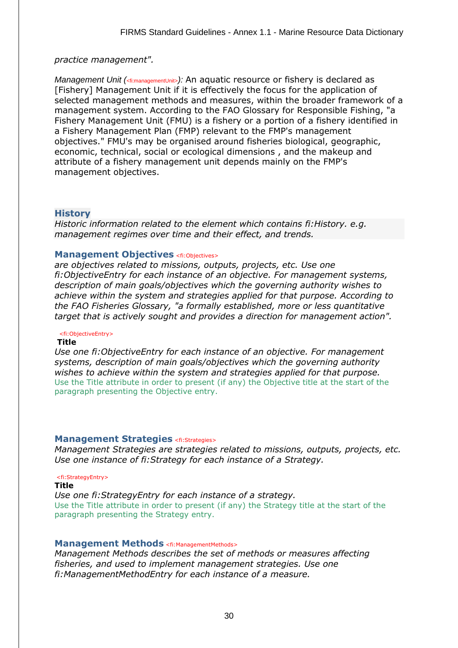### *practice management".*

*Management Unit (<fi:managementUnit>):* An aquatic resource or fishery is declared as [Fishery] Management Unit if it is effectively the focus for the application of selected management methods and measures, within the broader framework of a management system. According to the FAO Glossary for Responsible Fishing, "a Fishery Management Unit (FMU) is a fishery or a portion of a fishery identified in a Fishery Management Plan (FMP) relevant to the FMP's management objectives." FMU's may be organised around fisheries biological, geographic, economic, technical, social or ecological dimensions , and the makeup and attribute of a fishery management unit depends mainly on the FMP's management objectives.

# **History**

*Historic information related to the element which contains fi:History. e.g. management regimes over time and their effect, and trends.* 

#### **Management Objectives** <fi:Objectives>

*are objectives related to missions, outputs, projects, etc. Use one fi:ObjectiveEntry for each instance of an objective. For management systems, description of main goals/objectives which the governing authority wishes to achieve within the system and strategies applied for that purpose. According to the FAO Fisheries Glossary, "a formally established, more or less quantitative target that is actively sought and provides a direction for management action".*

#### <fi:ObjectiveEntry>

#### **Title**

*Use one fi:ObjectiveEntry for each instance of an objective. For management systems, description of main goals/objectives which the governing authority wishes to achieve within the system and strategies applied for that purpose.* Use the Title attribute in order to present (if any) the Objective title at the start of the paragraph presenting the Objective entry.

#### **Management Strategies** <fi:Strategies>

*Management Strategies are strategies related to missions, outputs, projects, etc. Use one instance of fi:Strategy for each instance of a Strategy.*

#### <fi:StrategyEntry>

**Title**

*Use one fi:StrategyEntry for each instance of a strategy.* Use the Title attribute in order to present (if any) the Strategy title at the start of the paragraph presenting the Strategy entry.

### **Management Methods** <fi:ManagementMethods>

*Management Methods describes the set of methods or measures affecting fisheries, and used to implement management strategies. Use one fi:ManagementMethodEntry for each instance of a measure.*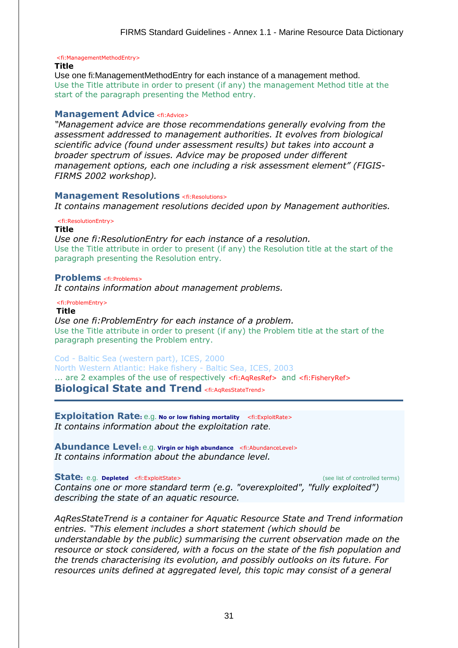<fi:ManagementMethodEntry>

#### **Title**

Use one fi:ManagementMethodEntry for each instance of a management method. Use the Title attribute in order to present (if any) the management Method title at the start of the paragraph presenting the Method entry.

#### **Management Advice <fi:Advice>**

*"Management advice are those recommendations generally evolving from the assessment addressed to management authorities. It evolves from biological scientific advice (found under assessment results) but takes into account a broader spectrum of issues. Advice may be proposed under different management options, each one including a risk assessment element" (FIGIS-FIRMS 2002 workshop).*

#### **Management Resolutions** <fi:Resolutions>

*It contains management resolutions decided upon by Management authorities.*

#### <fi:ResolutionEntry>

**Title**

*Use one fi:ResolutionEntry for each instance of a resolution.* Use the Title attribute in order to present (if any) the Resolution title at the start of the paragraph presenting the Resolution entry.

#### **Problems** <fi:Problems>

*It contains information about management problems.*

<fi:ProblemEntry>

#### **Title**

*Use one fi:ProblemEntry for each instance of a problem.* Use the Title attribute in order to present (if any) the Problem title at the start of the paragraph presenting the Problem entry.

#### Cod - Baltic Sea (western part), ICES, 2000

North Western Atlantic: Hake fishery - Baltic Sea, ICES, 2003

... are 2 examples of the use of respectively <fi:AqResRef> and <fi:FisheryRef> **Biological State and Trend** <fi:AqResStateTrend>

**Exploitation Rate:** e.g. **No or low fishing mortality** <fi:ExploitRate> *It contains information about the exploitation rate*.

**Abundance Level:** e.g. **Virgin or high abundance** <fi:AbundanceLevel> *It contains information about the abundance level.*

#### **State**: e.g. **Depleted** <fi:ExploitState> (see list of controlled terms)

*Contains one or more standard term (e.g. "overexploited", "fully exploited") describing the state of an aquatic resource.*

*AqResStateTrend is a container for Aquatic Resource State and Trend information entries. "This element includes a short statement (which should be understandable by the public) summarising the current observation made on the resource or stock considered, with a focus on the state of the fish population and the trends characterising its evolution, and possibly outlooks on its future. For resources units defined at aggregated level, this topic may consist of a general*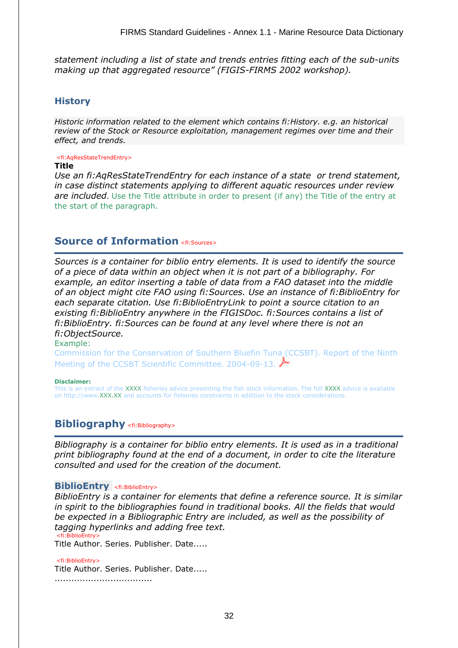*statement including a list of state and trends entries fitting each of the sub-units making up that aggregated resource" (FIGIS-FIRMS 2002 workshop).*

# **History**

*Historic information related to the element which contains fi:History. e.g. an historical review of the Stock or Resource exploitation, management regimes over time and their effect, and trends.* 

#### <fi:AqResStateTrendEntry>

#### **Title**

*Use an fi:AqResStateTrendEntry for each instance of a state or trend statement, in case distinct statements applying to different aquatic resources under review are included*. Use the Title attribute in order to present (if any) the Title of the entry at the start of the paragraph.

# **Source of Information** <fi:Sources>

*Sources is a container for biblio entry elements. It is used to identify the source of a piece of data within an object when it is not part of a bibliography. For example, an editor inserting a table of data from a FAO dataset into the middle of an object might cite FAO using fi:Sources. Use an instance of fi:BiblioEntry for each separate citation. Use fi:BiblioEntryLink to point a source citation to an existing fi:BiblioEntry anywhere in the FIGISDoc. fi:Sources contains a list of fi:BiblioEntry. fi:Sources can be found at any level where there is not an fi:ObjectSource.*

Example:

Commission for the Conservation of Southern Bluefin Tuna (CCSBT). Report of the Ninth Meeting of the CCSBT Scientific Committee. 2004-09-13.

#### **Disclaimer:**

This is an extract of the XXXX fisheries advice presenting the fish stock information. The full XXXX advice is available on http://www.XXX.XX and accounts for fisheries constraints in addition to the stock considerations.

# **Bibliography** <fi:Bibliography>

*Bibliography is a container for biblio entry elements. It is used as in a traditional print bibliography found at the end of a document, in order to cite the literature consulted and used for the creation of the document.*

# **BiblioEntry** <fi:BiblioEntry>

*BiblioEntry is a container for elements that define a reference source. It is similar in spirit to the bibliographies found in traditional books. All the fields that would be expected in a Bibliographic Entry are included, as well as the possibility of tagging hyperlinks and adding free text.* <fi:BiblioEntry>

Title Author. Series. Publisher. Date.....

<fi:BiblioEntry> Title Author. Series. Publisher. Date..... ...................................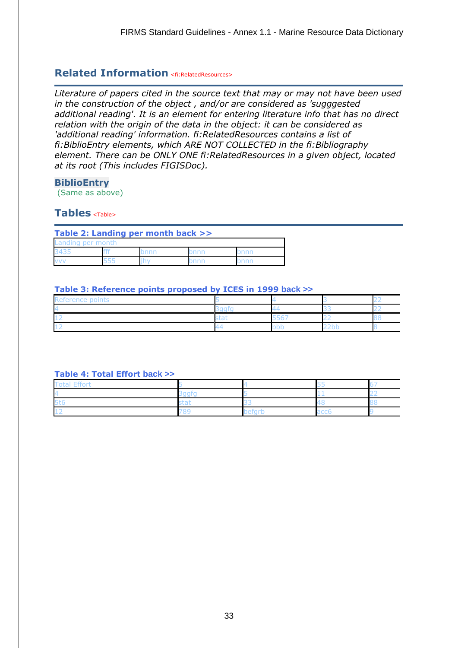# **Related Information** <fi:RelatedResources>

*Literature of papers cited in the source text that may or may not have been used in the construction of the object , and/or are considered as 'sugggested additional reading'. It is an element for entering literature info that has no direct relation with the origin of the data in the object: it can be considered as 'additional reading' information. fi:RelatedResources contains a list of fi:BiblioEntry elements, which ARE NOT COLLECTED in the fi:Bibliography element. There can be ONLY ONE fi:RelatedResources in a given object, located at its root (This includes FIGISDoc).*

### **BiblioEntry**

(Same as above)

# **Tables** <Table>

#### **Table 2: Landing per month [back >>](http://figis02:8181/fi/figis/firms_test/firmspartner_year_speciesname.html#back2#back2)**

| Landing per month |      |      |  |
|-------------------|------|------|--|
| 3435              | onnr | )nnr |  |
| <b>VV</b>         |      |      |  |

#### **Table 3: Reference points proposed by ICES in 1999 [back >>](http://figis02:8181/fi/figis/firms_test/firmspartner_year_speciesname.html#back3#back3)**

| $\sim$ in the $\sim$<br>keference<br>. |         |          |  |
|----------------------------------------|---------|----------|--|
|                                        | ∽       |          |  |
|                                        | --<br>ີ | __<br>-- |  |
|                                        |         | ---      |  |

### **Table 4: Total Effort [back >>](http://figis02:8181/fi/figis/firms_test/firmspartner_year_speciesname.html#back4#back4)**

| rs |            |  |
|----|------------|--|
|    | .)AT<br>-- |  |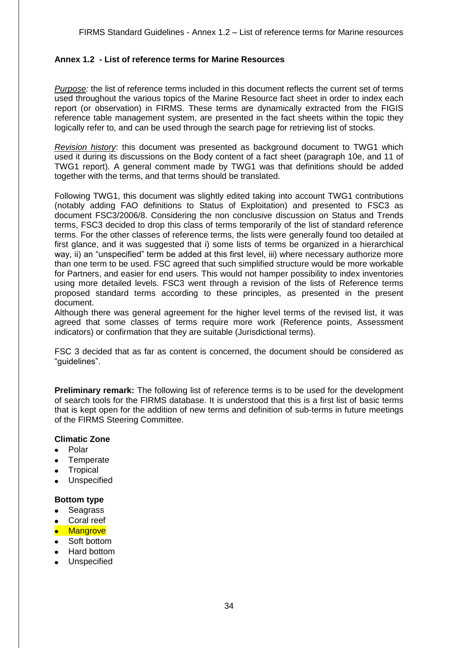# <span id="page-33-0"></span>**Annex 1.2 - List of reference terms for Marine Resources**

*Purpose:* the list of reference terms included in this document reflects the current set of terms used throughout the various topics of the Marine Resource fact sheet in order to index each report (or observation) in FIRMS. These terms are dynamically extracted from the FIGIS reference table management system, are presented in the fact sheets within the topic they logically refer to, and can be used through the search page for retrieving list of stocks.

*Revision history*: this document was presented as background document to TWG1 which used it during its discussions on the Body content of a fact sheet (paragraph 10e, and 11 of TWG1 report). A general comment made by TWG1 was that definitions should be added together with the terms, and that terms should be translated.

Following TWG1, this document was slightly edited taking into account TWG1 contributions (notably adding FAO definitions to Status of Exploitation) and presented to FSC3 as document FSC3/2006/8. Considering the non conclusive discussion on Status and Trends terms, FSC3 decided to drop this class of terms temporarily of the list of standard reference terms. For the other classes of reference terms, the lists were generally found too detailed at first glance, and it was suggested that i) some lists of terms be organized in a hierarchical way, ii) an "unspecified" term be added at this first level, iii) where necessary authorize more than one term to be used. FSC agreed that such simplified structure would be more workable for Partners, and easier for end users. This would not hamper possibility to index inventories using more detailed levels. FSC3 went through a revision of the lists of Reference terms proposed standard terms according to these principles, as presented in the present document.

Although there was general agreement for the higher level terms of the revised list, it was agreed that some classes of terms require more work (Reference points, Assessment indicators) or confirmation that they are suitable (Jurisdictional terms).

FSC 3 decided that as far as content is concerned, the document should be considered as "guidelines".

**Preliminary remark:** The following list of reference terms is to be used for the development of search tools for the FIRMS database. It is understood that this is a first list of basic terms that is kept open for the addition of new terms and definition of sub-terms in future meetings of the FIRMS Steering Committee.

### **Climatic Zone**

- Polar
- **Temperate**  $\bullet$
- **Tropical**  $\bullet$
- Unspecified  $\bullet$

#### **Bottom type**

- Seagrass  $\bullet$
- Coral reef
- Mangrove
- Soft bottom
- Hard bottom
- **•** Unspecified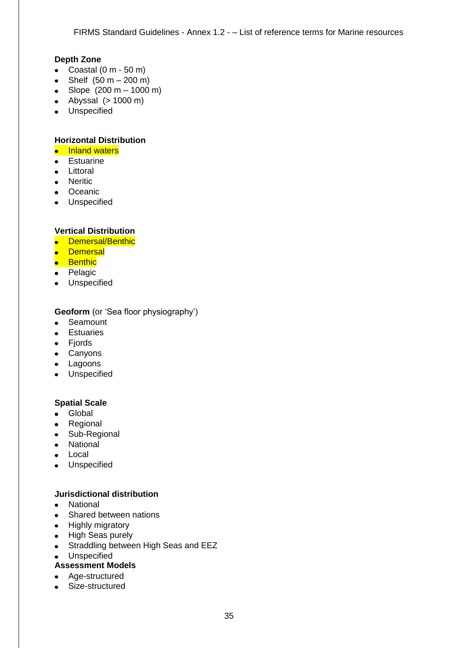# **Depth Zone**

- Coastal  $(0 \text{ m} 50 \text{ m})$
- Shelf  $(50 m 200 m)$
- Slope  $(200 \text{ m} 1000 \text{ m})$
- $\bullet$  Abyssal ( $> 1000 \text{ m}$ )
- Unspecified

# **Horizontal Distribution**

- Inland waters
- Estuarine
- Littoral
- Neritic
- Oceanic
- **•** Unspecified

# **Vertical Distribution**

- Demersal/Benthic
- **•** Demersal
- **•** Benthic
- Pelagic
- **•** Unspecified

# **Geoform** (or 'Sea floor physiography')

- $\bullet$ **Seamount**
- Estuaries
- Fjords
- Canyons
- Lagoons
- Unspecified

# **Spatial Scale**

- Global
- Regional
- Sub-Regional
- National
- Local
- **•** Unspecified

# **Jurisdictional distribution**

- National
- Shared between nations
- Highly migratory
- High Seas purely
- Straddling between High Seas and EEZ
- **•** Unspecified
- **Assessment Models**
- Age-structured
- Size-structured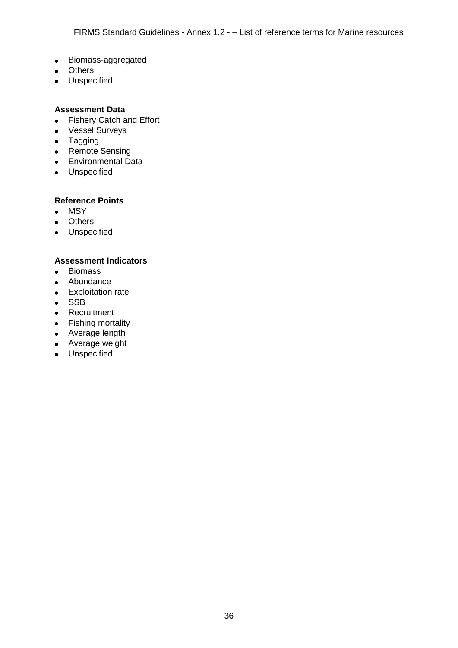- Biomass-aggregated
- Others
- **•** Unspecified

# **Assessment Data**

- Fishery Catch and Effort
- Vessel Surveys
- Tagging
- Remote Sensing
- **Environmental Data**
- **•** Unspecified

# **Reference Points**

- MSY
- Others
- **•** Unspecified

# **Assessment Indicators**

- Biomass
- Abundance
- Exploitation rate
- $\bullet$  SSB
- Recruitment
- Fishing mortality
- Average length
- Average weight
- Unspecified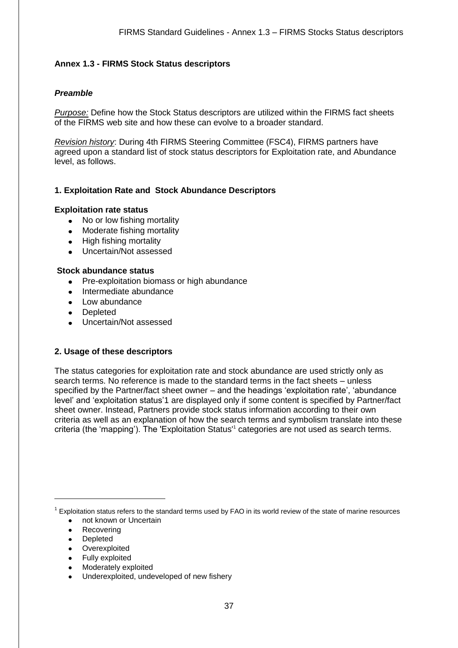### <span id="page-36-0"></span>**Annex 1.3 - FIRMS Stock Status descriptors**

#### *Preamble*

*Purpose:* Define how the Stock Status descriptors are utilized within the FIRMS fact sheets of the FIRMS web site and how these can evolve to a broader standard.

*Revision history*: During 4th FIRMS Steering Committee (FSC4), FIRMS partners have agreed upon a standard list of stock status descriptors for Exploitation rate, and Abundance level, as follows.

#### **1. Exploitation Rate and Stock Abundance Descriptors**

#### **Exploitation rate status**

- No or low fishing mortality
- Moderate fishing mortality  $\bullet$
- High fishing mortality
- Uncertain/Not assessed

#### **Stock abundance status**

- Pre-exploitation biomass or high abundance
- Intermediate abundance
- Low abundance
- Depleted
- Uncertain/Not assessed

#### **2. Usage of these descriptors**

The status categories for exploitation rate and stock abundance are used strictly only as search terms. No reference is made to the standard terms in the fact sheets – unless specified by the Partner/fact sheet owner – and the headings 'exploitation rate', 'abundance level' and 'exploitation status'1 are displayed only if some content is specified by Partner/fact sheet owner. Instead, Partners provide stock status information according to their own criteria as well as an explanation of how the search terms and symbolism translate into these criteria (the 'mapping'). The 'Exploitation Status'<sup>1</sup> categories are not used as search terms.

 $1$  Exploitation status refers to the standard terms used by FAO in its world review of the state of marine resources • not known or Uncertain

- Recovering
- Depleted

 $\overline{a}$ 

- Overexploited
- Fully exploited
- Moderately exploited
- Underexploited, undeveloped of new fishery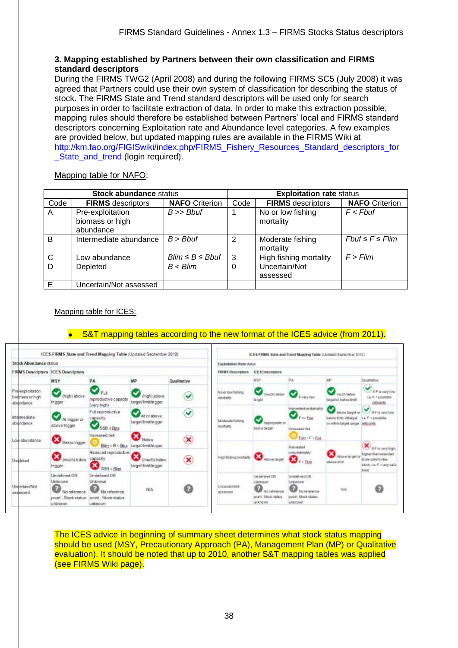# **3. Mapping established by Partners between their own classification and FIRMS standard descriptors**

During the FIRMS TWG2 (April 2008) and during the following FIRMS SC5 (July 2008) it was agreed that Partners could use their own system of classification for describing the status of stock. The FIRMS State and Trend standard descriptors will be used only for search purposes in order to facilitate extraction of data. In order to make this extraction possible, mapping rules should therefore be established between Partners' local and FIRMS standard descriptors concerning Exploitation rate and Abundance level categories. A few examples are provided below, but updated mapping rules are available in the FIRMS Wiki at [http://km.fao.org/FIGISwiki/index.php/FIRMS\\_Fishery\\_Resources\\_Standard\\_descriptors\\_for](http://km.fao.org/FIGISwiki/index.php/FIRMS_Fishery_Resources_Standard_descriptors_for_State_and_trend) State and trend (login required).

Mapping table for NAFO:

| <b>Stock abundance status</b> |                                                  |                         | <b>Exploitation rate status</b> |                                |                         |  |
|-------------------------------|--------------------------------------------------|-------------------------|---------------------------------|--------------------------------|-------------------------|--|
| Code                          | <b>FIRMS</b> descriptors                         | <b>NAFO</b> Criterion   | Code                            | <b>FIRMS</b> descriptors       | <b>NAFO</b> Criterion   |  |
| A                             | Pre-exploitation<br>biomass or high<br>abundance | $B \gg B$ buf           |                                 | No or low fishing<br>mortality | $F$ < Fbuf              |  |
| B                             | Intermediate abundance                           | $B > B$ buf             | 2                               | Moderate fishing<br>mortality  | $Fbut \leq F \leq Flim$ |  |
| $\mathsf{C}$                  | Low abundance                                    | $Blim \leq B \leq Bbut$ | 3                               | High fishing mortality         | $F >$ Flim              |  |
| D                             | Depleted                                         | $B < B$ lim             | 0                               | Uncertain/Not<br>assessed      |                         |  |
| E                             | Uncertain/Not assessed                           |                         |                                 |                                |                         |  |

### Mapping table for ICES:

# S&T mapping tables according to the new format of the ICES advice (from 2011).



The ICES advice in beginning of summary sheet determines what stock status mapping should be used (MSY, Precautionary Approach (PA), Management Plan (MP) or Qualitative evaluation). It should be noted that up to 2010, another S&T mapping tables was applied (see FIRMS Wiki page).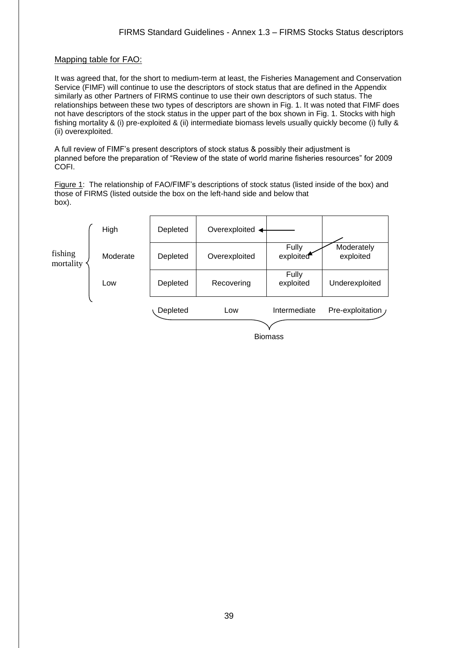#### Mapping table for FAO:

It was agreed that, for the short to medium-term at least, the Fisheries Management and Conservation Service (FIMF) will continue to use the descriptors of stock status that are defined in the Appendix similarly as other Partners of FIRMS continue to use their own descriptors of such status. The relationships between these two types of descriptors are shown in Fig. 1. It was noted that FIMF does not have descriptors of the stock status in the upper part of the box shown in Fig. 1. Stocks with high fishing mortality & (i) pre-exploited & (ii) intermediate biomass levels usually quickly become (i) fully & (ii) overexploited.

A full review of FIMF's present descriptors of stock status & possibly their adjustment is planned before the preparation of "Review of the state of world marine fisheries resources" for 2009 COFI.

Figure 1: The relationship of FAO/FIMF's descriptions of stock status (listed inside of the box) and those of FIRMS (listed outside the box on the left-hand side and below that box).

|                      | High     | Depleted | Overexploited $\leftarrow$ |                    |                         |
|----------------------|----------|----------|----------------------------|--------------------|-------------------------|
| fishing<br>mortality | Moderate | Depleted | Overexploited              | Fully<br>exploited | Moderately<br>exploited |
|                      | Low      | Depleted | Recovering                 | Fully<br>exploited | Underexploited          |
|                      |          | Depleted | Low                        | Intermediate       | Pre-exploitation /      |
|                      |          |          |                            | <b>Biomass</b>     |                         |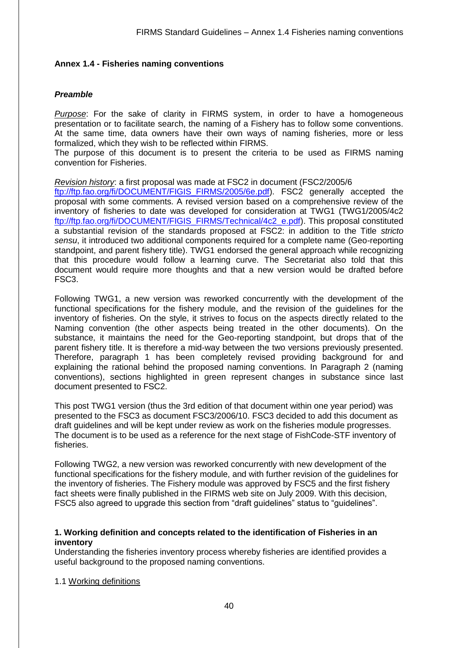### <span id="page-39-0"></span>**Annex 1.4 - Fisheries naming conventions**

# *Preamble*

*Purpose*: For the sake of clarity in FIRMS system, in order to have a homogeneous presentation or to facilitate search, the naming of a Fishery has to follow some conventions. At the same time, data owners have their own ways of naming fisheries, more or less formalized, which they wish to be reflected within FIRMS.

The purpose of this document is to present the criteria to be used as FIRMS naming convention for Fisheries.

#### *Revision history*: a first proposal was made at FSC2 in document (FSC2/2005/6

[ftp://ftp.fao.org/fi/DOCUMENT/FIGIS\\_FIRMS/2005/6e.pdf\)](ftp://ftp.fao.org/fi/DOCUMENT/FIGIS_FIRMS/2005/6e.pdf). FSC2 generally accepted the proposal with some comments. A revised version based on a comprehensive review of the inventory of fisheries to date was developed for consideration at TWG1 (TWG1/2005/4c2 ftp://ftp.fao.org/fi/DOCUMENT/FIGIS\_FIRMS/Technical/4c2\_e.pdf). This proposal constituted a substantial revision of the standards proposed at FSC2: in addition to the Title *stricto sensu*, it introduced two additional components required for a complete name (Geo-reporting standpoint, and parent fishery title). TWG1 endorsed the general approach while recognizing that this procedure would follow a learning curve. The Secretariat also told that this document would require more thoughts and that a new version would be drafted before FSC3.

Following TWG1, a new version was reworked concurrently with the development of the functional specifications for the fishery module, and the revision of the guidelines for the inventory of fisheries. On the style, it strives to focus on the aspects directly related to the Naming convention (the other aspects being treated in the other documents). On the substance, it maintains the need for the Geo-reporting standpoint, but drops that of the parent fishery title. It is therefore a mid-way between the two versions previously presented. Therefore, paragraph 1 has been completely revised providing background for and explaining the rational behind the proposed naming conventions. In Paragraph 2 (naming conventions), sections highlighted in green represent changes in substance since last document presented to FSC2.

This post TWG1 version (thus the 3rd edition of that document within one year period) was presented to the FSC3 as document FSC3/2006/10. FSC3 decided to add this document as draft guidelines and will be kept under review as work on the fisheries module progresses. The document is to be used as a reference for the next stage of FishCode-STF inventory of fisheries.

Following TWG2, a new version was reworked concurrently with new development of the functional specifications for the fishery module, and with further revision of the guidelines for the inventory of fisheries. The Fishery module was approved by FSC5 and the first fishery fact sheets were finally published in the FIRMS web site on July 2009. With this decision, FSC5 also agreed to upgrade this section from "draft guidelines" status to "guidelines".

### **1. Working definition and concepts related to the identification of Fisheries in an inventory**

Understanding the fisheries inventory process whereby fisheries are identified provides a useful background to the proposed naming conventions.

### 1.1 Working definitions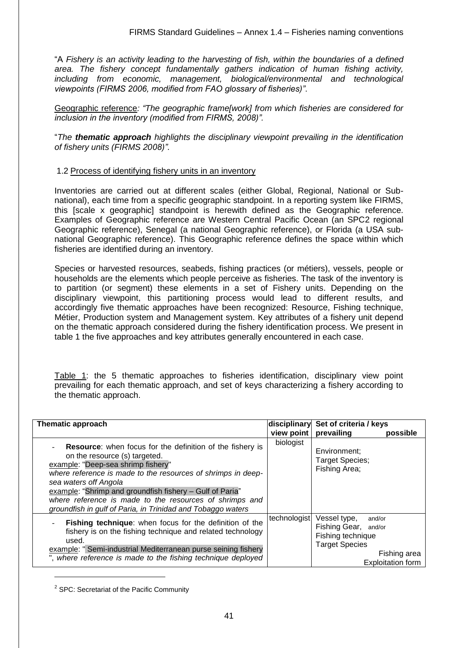"A *Fishery is an activity leading to the harvesting of fish, within the boundaries of a defined area. The fishery concept fundamentally gathers indication of human fishing activity, including from economic, management, biological/environmental and technological viewpoints (FIRMS 2006, modified from FAO glossary of fisheries)"*.

Geographic reference*: "The geographic frame[work] from which fisheries are considered for inclusion in the inventory (modified from FIRMS, 2008)".*

"*The thematic approach highlights the disciplinary viewpoint prevailing in the identification of fishery units (FIRMS 2008)"*.

#### 1.2 Process of identifying fishery units in an inventory

Inventories are carried out at different scales (either Global, Regional, National or Subnational), each time from a specific geographic standpoint. In a reporting system like FIRMS, this [scale x geographic] standpoint is herewith defined as the Geographic reference. Examples of Geographic reference are Western Central Pacific Ocean (an SPC2 regional Geographic reference), Senegal (a national Geographic reference), or Florida (a USA subnational Geographic reference). This Geographic reference defines the space within which fisheries are identified during an inventory.

Species or harvested resources, seabeds, fishing practices (or métiers), vessels, people or households are the elements which people perceive as fisheries. The task of the inventory is to partition (or segment) these elements in a set of Fishery units. Depending on the disciplinary viewpoint, this partitioning process would lead to different results, and accordingly five thematic approaches have been recognized: Resource, Fishing technique, Métier, Production system and Management system. Key attributes of a fishery unit depend on the thematic approach considered during the fishery identification process. We present in table 1 the five approaches and key attributes generally encountered in each case.

Table 1: the 5 thematic approaches to fisheries identification, disciplinary view point prevailing for each thematic approach, and set of keys characterizing a fishery according to the thematic approach.

| Thematic approach                                                                                                                                                                                                                                                                                                                                                                                                      |              | disciplinary Set of criteria / keys                                                                                                      |
|------------------------------------------------------------------------------------------------------------------------------------------------------------------------------------------------------------------------------------------------------------------------------------------------------------------------------------------------------------------------------------------------------------------------|--------------|------------------------------------------------------------------------------------------------------------------------------------------|
|                                                                                                                                                                                                                                                                                                                                                                                                                        | view point   | prevailing<br>possible                                                                                                                   |
| <b>Resource:</b> when focus for the definition of the fishery is<br>on the resource (s) targeted.<br>example: "Deep-sea shrimp fishery"<br>where reference is made to the resources of shrimps in deep-<br>sea waters off Angola<br>example: "Shrimp and groundfish fishery - Gulf of Paria"<br>where reference is made to the resources of shrimps and<br>groundfish in gulf of Paria, in Trinidad and Tobaggo waters | biologist    | Environment:<br>Target Species;<br>Fishing Area;                                                                                         |
| Fishing technique: when focus for the definition of the<br>fishery is on the fishing technique and related technology<br>used.<br>example: "Semi-industrial Mediterranean purse seining fishery<br>", where reference is made to the fishing technique deployed                                                                                                                                                        | technologist | Vessel type,<br>and/or<br>Fishing Gear, and/or<br>Fishing technique<br><b>Target Species</b><br>Fishing area<br><b>Exploitation form</b> |

<sup>2</sup> SPC: Secretariat of the Pacific Community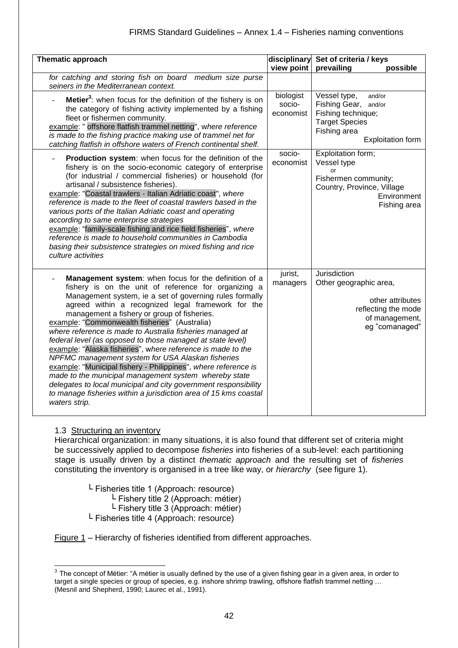| Thematic approach                                                                                                                                                                                                                                                                                                                                                                                                                                                                                                                                                                                                                                                                                                                                                                                                                                                |                                  | disciplinary Set of criteria / keys                                                                                                          |
|------------------------------------------------------------------------------------------------------------------------------------------------------------------------------------------------------------------------------------------------------------------------------------------------------------------------------------------------------------------------------------------------------------------------------------------------------------------------------------------------------------------------------------------------------------------------------------------------------------------------------------------------------------------------------------------------------------------------------------------------------------------------------------------------------------------------------------------------------------------|----------------------------------|----------------------------------------------------------------------------------------------------------------------------------------------|
|                                                                                                                                                                                                                                                                                                                                                                                                                                                                                                                                                                                                                                                                                                                                                                                                                                                                  | view point                       | prevailing<br>possible                                                                                                                       |
| for catching and storing fish on board medium size purse<br>seiners in the Mediterranean context.                                                                                                                                                                                                                                                                                                                                                                                                                                                                                                                                                                                                                                                                                                                                                                |                                  |                                                                                                                                              |
| Metier <sup>3</sup> : when focus for the definition of the fishery is on<br>the category of fishing activity implemented by a fishing<br>fleet or fishermen community.<br>example: " offshore flatfish trammel netting", where reference<br>is made to the fishing practice making use of trammel net for<br>catching flatfish in offshore waters of French continental shelf.                                                                                                                                                                                                                                                                                                                                                                                                                                                                                   | biologist<br>socio-<br>economist | Vessel type,<br>and/or<br>Fishing Gear,<br>and/or<br>Fishing technique;<br><b>Target Species</b><br>Fishing area<br><b>Exploitation form</b> |
| Production system: when focus for the definition of the<br>fishery is on the socio-economic category of enterprise<br>(for industrial / commercial fisheries) or household (for<br>artisanal / subsistence fisheries).<br>example: "Coastal trawlers - Italian Adriatic coast", where<br>reference is made to the fleet of coastal trawlers based in the<br>various ports of the Italian Adriatic coast and operating<br>according to same enterprise strategies<br>example: "family-scale fishing and rice field fisheries", where<br>reference is made to household communities in Cambodia<br>basing their subsistence strategies on mixed fishing and rice<br>culture activities                                                                                                                                                                             | socio-<br>economist              | Exploitation form;<br>Vessel type<br>or<br>Fishermen community;<br>Country, Province, Village<br>Environment<br>Fishing area                 |
| Management system: when focus for the definition of a<br>fishery is on the unit of reference for organizing a<br>Management system, ie a set of governing rules formally<br>agreed within a recognized legal framework for the<br>management a fishery or group of fisheries.<br>example: "Commonwealth fisheries" (Australia)<br>where reference is made to Australia fisheries managed at<br>federal level (as opposed to those managed at state level)<br>example: "Alaska fisheries", where reference is made to the<br>NPFMC management system for USA Alaskan fisheries<br>example: "Municipal fishery - Philippines", where reference is<br>made to the municipal management system whereby state<br>delegates to local municipal and city government responsibility<br>to manage fisheries within a jurisdiction area of 15 kms coastal<br>waters strip. | jurist,<br>managers              | Jurisdiction<br>Other geographic area,<br>other attributes<br>reflecting the mode<br>of management,<br>eg "comanaged"                        |

### 1.3 Structuring an inventory

Hierarchical organization: in many situations, it is also found that different set of criteria might be successively applied to decompose *fisheries* into fisheries of a sub-level: each partitioning stage is usually driven by a distinct *thematic approach* and the resulting set of *fisheries* constituting the inventory is organised in a tree like way, or *hierarchy* (see figure 1).

 $L$  Fisheries title 1 (Approach: resource)  $L$  Fishery title 2 (Approach: métier)  $L$  Fishery title 3 (Approach: métier)

L Fisheries title 4 (Approach: resource)

Figure 1 – Hierarchy of fisheries identified from different approaches.

 3 The concept of Métier: "A métier is usually defined by the use of a given fishing gear in a given area, in order to target a single species or group of species, e.g. inshore shrimp trawling, offshore flatfish trammel netting … (Mesnil and Shepherd, 1990; Laurec et al., 1991).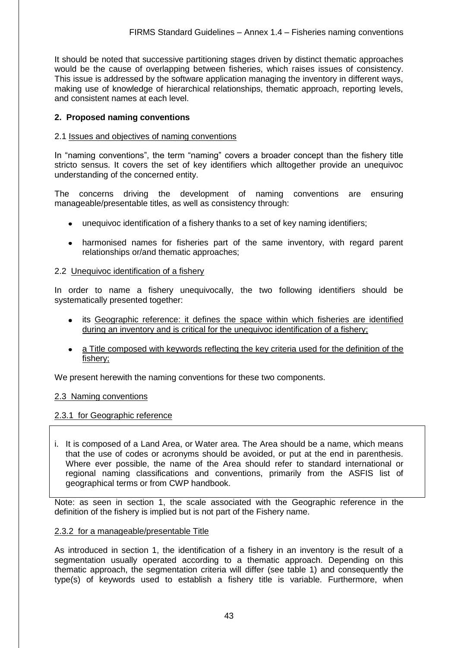It should be noted that successive partitioning stages driven by distinct thematic approaches would be the cause of overlapping between fisheries, which raises issues of consistency. This issue is addressed by the software application managing the inventory in different ways, making use of knowledge of hierarchical relationships, thematic approach, reporting levels, and consistent names at each level.

# **2. Proposed naming conventions**

### 2.1 Issues and objectives of naming conventions

In "naming conventions", the term "naming" covers a broader concept than the fishery title stricto sensus. It covers the set of key identifiers which alltogether provide an unequivoc understanding of the concerned entity.

The concerns driving the development of naming conventions are ensuring manageable/presentable titles, as well as consistency through:

- unequivoc identification of a fishery thanks to a set of key naming identifiers;
- harmonised names for fisheries part of the same inventory, with regard parent relationships or/and thematic approaches;

### 2.2 Unequivoc identification of a fishery

In order to name a fishery unequivocally, the two following identifiers should be systematically presented together:

- $\bullet$ its Geographic reference: it defines the space within which fisheries are identified during an inventory and is critical for the unequivoc identification of a fishery;
- a Title composed with keywords reflecting the key criteria used for the definition of the fishery;

We present herewith the naming conventions for these two components.

### 2.3 Naming conventions

### 2.3.1 for Geographic reference

i. It is composed of a Land Area, or Water area. The Area should be a name, which means that the use of codes or acronyms should be avoided, or put at the end in parenthesis. Where ever possible, the name of the Area should refer to standard international or regional naming classifications and conventions, primarily from the ASFIS list of geographical terms or from CWP handbook.

Note: as seen in section 1, the scale associated with the Geographic reference in the definition of the fishery is implied but is not part of the Fishery name.

### 2.3.2 for a manageable/presentable Title

As introduced in section 1, the identification of a fishery in an inventory is the result of a segmentation usually operated according to a thematic approach. Depending on this thematic approach, the segmentation criteria will differ (see table 1) and consequently the type(s) of keywords used to establish a fishery title is variable. Furthermore, when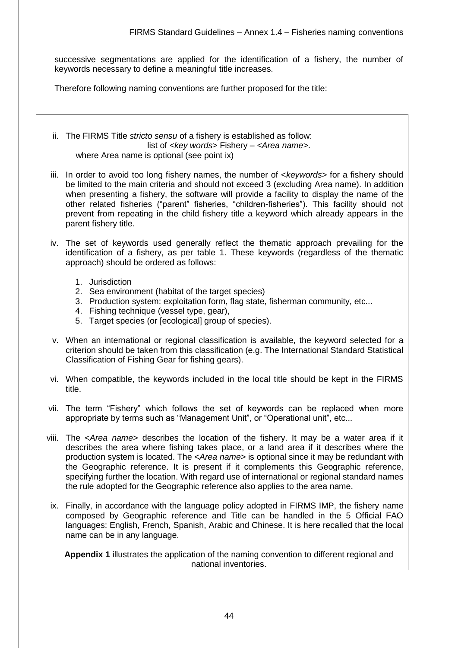successive segmentations are applied for the identification of a fishery, the number of keywords necessary to define a meaningful title increases.

Therefore following naming conventions are further proposed for the title:

ii. The FIRMS Title *stricto sensu* of a fishery is established as follow: list of *<key words>* Fishery – *<Area name>*. where Area name is optional (see point ix)

- iii. In order to avoid too long fishery names, the number of <*keywords*> for a fishery should be limited to the main criteria and should not exceed 3 (excluding Area name). In addition when presenting a fishery, the software will provide a facility to display the name of the other related fisheries ("parent" fisheries, "children-fisheries"). This facility should not prevent from repeating in the child fishery title a keyword which already appears in the parent fishery title.
- iv. The set of keywords used generally reflect the thematic approach prevailing for the identification of a fishery, as per table 1. These keywords (regardless of the thematic approach) should be ordered as follows:
	- 1. Jurisdiction
	- 2. Sea environment (habitat of the target species)
	- 3. Production system: exploitation form, flag state, fisherman community, etc...
	- 4. Fishing technique (vessel type, gear),
	- 5. Target species (or [ecological] group of species).
- v. When an international or regional classification is available, the keyword selected for a criterion should be taken from this classification (e.g. The International Standard Statistical Classification of Fishing Gear for fishing gears).
- vi. When compatible, the keywords included in the local title should be kept in the FIRMS title.
- vii. The term "Fishery" which follows the set of keywords can be replaced when more appropriate by terms such as "Management Unit", or "Operational unit", etc...
- viii. The <*Area name*> describes the location of the fishery. It may be a water area if it describes the area where fishing takes place, or a land area if it describes where the production system is located. The <*Area name*> is optional since it may be redundant with the Geographic reference. It is present if it complements this Geographic reference, specifying further the location. With regard use of international or regional standard names the rule adopted for the Geographic reference also applies to the area name.
- ix. Finally, in accordance with the language policy adopted in FIRMS IMP, the fishery name composed by Geographic reference and Title can be handled in the 5 Official FAO languages: English, French, Spanish, Arabic and Chinese. It is here recalled that the local name can be in any language.

**Appendix 1** illustrates the application of the naming convention to different regional and national inventories.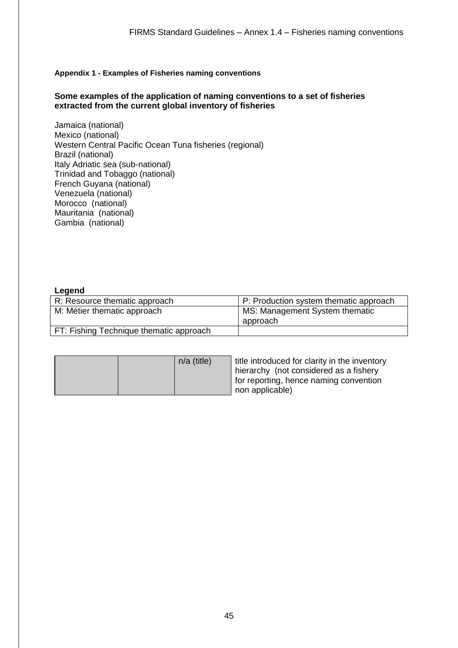#### **Appendix 1 - Examples of Fisheries naming conventions**

#### **Some examples of the application of naming conventions to a set of fisheries extracted from the current global inventory of fisheries**

Jamaica (national) Mexico (national) Western Central Pacific Ocean Tuna fisheries (regional) Brazil (national) Italy Adriatic sea (sub-national) Trinidad and Tobaggo (national) French Guyana (national) Venezuela (national) Morocco (national) Mauritania (national) Gambia (national)

#### **Legend**

| R: Resource thematic approach           | P: Production system thematic approach |
|-----------------------------------------|----------------------------------------|
| M: Métier thematic approach             | MS: Management System thematic         |
|                                         | approach                               |
| FT: Fishing Technique thematic approach |                                        |

| $n/a$ (title) | title introduced for clarity in the inventory<br>hierarchy (not considered as a fishery<br>for reporting, hence naming convention<br>non applicable) |
|---------------|------------------------------------------------------------------------------------------------------------------------------------------------------|
|---------------|------------------------------------------------------------------------------------------------------------------------------------------------------|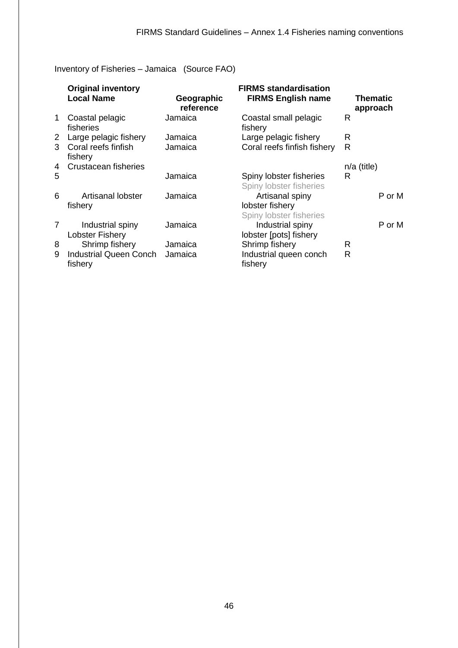Inventory of Fisheries – Jamaica (Source FAO)

|                | <b>Original inventory</b><br><b>Local Name</b> | Geographic<br>reference | <b>FIRMS</b> standardisation<br><b>FIRMS English name</b>     | Thematic<br>approach |
|----------------|------------------------------------------------|-------------------------|---------------------------------------------------------------|----------------------|
| $\mathbf{1}$   | Coastal pelagic<br>fisheries                   | Jamaica                 | Coastal small pelagic<br>fishery                              | $\mathsf{R}$         |
| 2 <sup>2</sup> | Large pelagic fishery                          | Jamaica                 | Large pelagic fishery                                         | R                    |
| 3              | Coral reefs finfish<br>fishery                 | Jamaica                 | Coral reefs finfish fishery                                   | R                    |
| 4              | Crustacean fisheries                           |                         |                                                               | $n/a$ (title)        |
| 5              |                                                | Jamaica                 | Spiny lobster fisheries<br>Spiny lobster fisheries            | R                    |
| 6              | Artisanal lobster<br>fishery                   | Jamaica                 | Artisanal spiny<br>lobster fishery<br>Spiny lobster fisheries | P or M               |
|                | Industrial spiny<br><b>Lobster Fishery</b>     | Jamaica                 | Industrial spiny<br>lobster [pots] fishery                    | P or M               |
| 8              | Shrimp fishery                                 | Jamaica                 | Shrimp fishery                                                | R                    |
| 9              | <b>Industrial Queen Conch</b><br>fishery       | Jamaica                 | Industrial queen conch<br>fishery                             | R                    |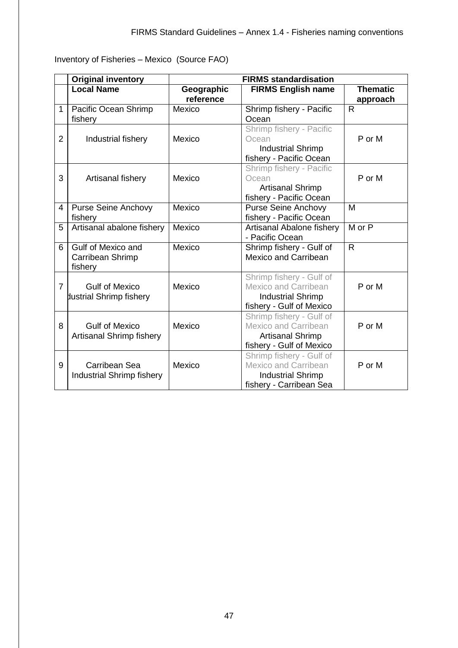Inventory of Fisheries – Mexico (Source FAO)

|                | <b>Original inventory</b>                         |                         | <b>FIRMS standardisation</b>                                                                                    |                             |
|----------------|---------------------------------------------------|-------------------------|-----------------------------------------------------------------------------------------------------------------|-----------------------------|
|                | <b>Local Name</b>                                 | Geographic<br>reference | <b>FIRMS English name</b>                                                                                       | <b>Thematic</b><br>approach |
| $\mathbf{1}$   | Pacific Ocean Shrimp<br>fishery                   | Mexico                  | Shrimp fishery - Pacific<br>Ocean                                                                               | $\mathsf{R}$                |
| $\overline{2}$ | Industrial fishery                                | Mexico                  | Shrimp fishery - Pacific<br>Ocean<br><b>Industrial Shrimp</b><br>fishery - Pacific Ocean                        | P or M                      |
| 3              | Artisanal fishery                                 | Mexico                  | Shrimp fishery - Pacific<br>Ocean<br><b>Artisanal Shrimp</b><br>fishery - Pacific Ocean                         | P or M                      |
| 4              | <b>Purse Seine Anchovy</b><br>fishery             | Mexico                  | <b>Purse Seine Anchovy</b><br>fishery - Pacific Ocean                                                           | M                           |
| 5              | Artisanal abalone fishery                         | Mexico                  | Artisanal Abalone fishery<br>- Pacific Ocean                                                                    | $M$ or $P$                  |
| 6              | Gulf of Mexico and<br>Carribean Shrimp<br>fishery | Mexico                  | Shrimp fishery - Gulf of<br><b>Mexico and Carribean</b>                                                         | $\mathsf{R}$                |
| $\overline{7}$ | <b>Gulf of Mexico</b><br>dustrial Shrimp fishery  | Mexico                  | Shrimp fishery - Gulf of<br><b>Mexico and Carribean</b><br><b>Industrial Shrimp</b><br>fishery - Gulf of Mexico | P or M                      |
| 8              | <b>Gulf of Mexico</b><br>Artisanal Shrimp fishery | Mexico                  | Shrimp fishery - Gulf of<br><b>Mexico and Carribean</b><br><b>Artisanal Shrimp</b><br>fishery - Gulf of Mexico  | P or M                      |
| 9              | Carribean Sea<br><b>Industrial Shrimp fishery</b> | Mexico                  | Shrimp fishery - Gulf of<br><b>Mexico and Carribean</b><br><b>Industrial Shrimp</b><br>fishery - Carribean Sea  | P or M                      |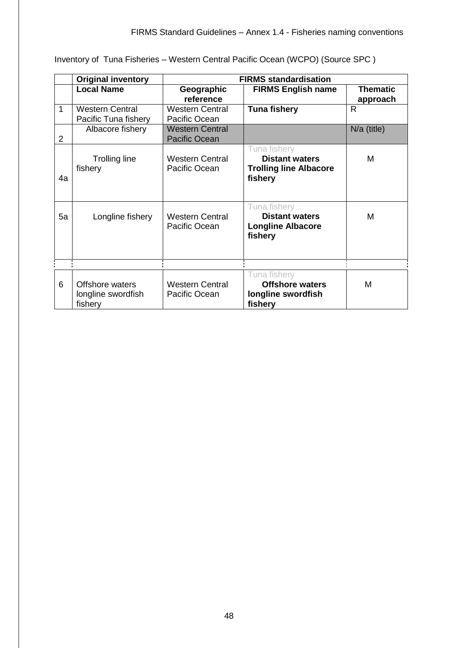|                | <b>Original inventory</b>                        | <b>FIRMS standardisation</b>                   |                                                                                   |                             |
|----------------|--------------------------------------------------|------------------------------------------------|-----------------------------------------------------------------------------------|-----------------------------|
|                | <b>Local Name</b>                                | Geographic<br>reference                        | <b>FIRMS English name</b>                                                         | <b>Thematic</b><br>approach |
| 1              | <b>Western Central</b><br>Pacific Tuna fishery   | <b>Western Central</b><br>Pacific Ocean        | <b>Tuna fishery</b>                                                               | $\mathsf{R}$                |
| $\overline{2}$ | Albacore fishery                                 | <b>Western Central</b><br><b>Pacific Ocean</b> |                                                                                   | $N/a$ (title)               |
| 4a             | <b>Trolling line</b><br>fishery                  | <b>Western Central</b><br>Pacific Ocean        | Tuna fishery<br><b>Distant waters</b><br><b>Trolling line Albacore</b><br>fishery | M                           |
| 5a             | Longline fishery                                 | <b>Western Central</b><br>Pacific Ocean        | Tuna fishery<br><b>Distant waters</b><br><b>Longline Albacore</b><br>fishery      | M                           |
| 6              | Offshore waters<br>longline swordfish<br>fishery | <b>Western Central</b><br>Pacific Ocean        | Tuna fishery<br><b>Offshore waters</b><br>longline swordfish<br>fishery           | M                           |

Inventory of Tuna Fisheries – Western Central Pacific Ocean (WCPO) (Source SPC )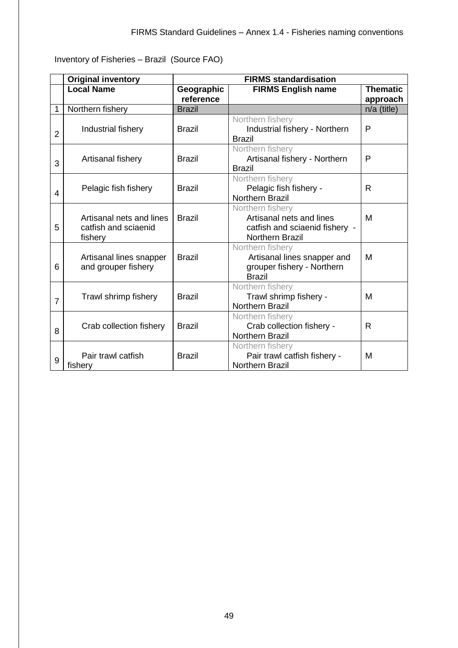Inventory of Fisheries – Brazil (Source FAO)

|                | <b>Original inventory</b>                                   | <b>FIRMS standardisation</b> |                                                                                                          |                             |
|----------------|-------------------------------------------------------------|------------------------------|----------------------------------------------------------------------------------------------------------|-----------------------------|
|                | <b>Local Name</b>                                           | Geographic<br>reference      | <b>FIRMS English name</b>                                                                                | <b>Thematic</b><br>approach |
| 1              | Northern fishery                                            | <b>Brazil</b>                |                                                                                                          | $n/a$ (title)               |
| $\overline{2}$ | Industrial fishery                                          | <b>Brazil</b>                | Northern fishery<br>Industrial fishery - Northern<br><b>Brazil</b>                                       | P                           |
| 3              | Artisanal fishery                                           | <b>Brazil</b>                | Northern fishery<br>Artisanal fishery - Northern<br><b>Brazil</b>                                        | P                           |
| 4              | Pelagic fish fishery                                        | <b>Brazil</b>                | Northern fishery<br>Pelagic fish fishery -<br>Northern Brazil                                            | R                           |
| 5              | Artisanal nets and lines<br>catfish and sciaenid<br>fishery | <b>Brazil</b>                | Northern fishery<br>Artisanal nets and lines<br>catfish and sciaenid fishery -<br><b>Northern Brazil</b> | M                           |
| 6              | Artisanal lines snapper<br>and grouper fishery              | <b>Brazil</b>                | Northern fishery<br>Artisanal lines snapper and<br>grouper fishery - Northern<br><b>Brazil</b>           | M                           |
| $\overline{7}$ | Trawl shrimp fishery                                        | <b>Brazil</b>                | Northern fishery<br>Trawl shrimp fishery -<br><b>Northern Brazil</b>                                     | M                           |
| 8              | Crab collection fishery                                     | <b>Brazil</b>                | Northern fishery<br>Crab collection fishery -<br>Northern Brazil                                         | R                           |
| 9              | Pair trawl catfish<br>fishery                               | <b>Brazil</b>                | Northern fishery<br>Pair trawl catfish fishery -<br><b>Northern Brazil</b>                               | M                           |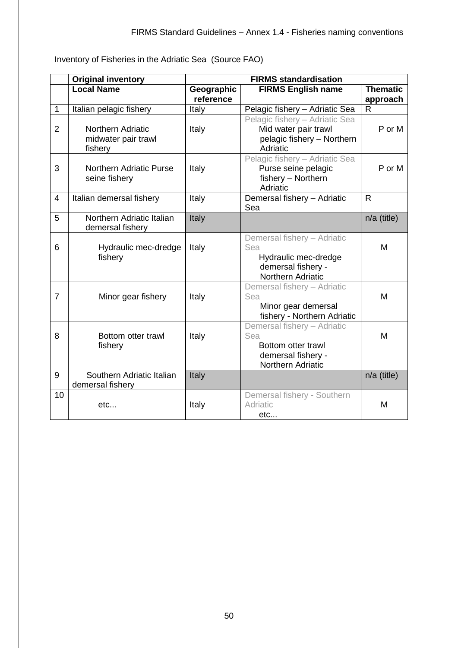Inventory of Fisheries in the Adriatic Sea (Source FAO)

|                | <b>Original inventory</b>                           |                         | <b>FIRMS standardisation</b>                                                                          |                             |
|----------------|-----------------------------------------------------|-------------------------|-------------------------------------------------------------------------------------------------------|-----------------------------|
|                | <b>Local Name</b>                                   | Geographic<br>reference | <b>FIRMS English name</b>                                                                             | <b>Thematic</b><br>approach |
| 1              | Italian pelagic fishery                             | Italy                   | Pelagic fishery - Adriatic Sea                                                                        | $\mathsf{R}$                |
| $\overline{2}$ | Northern Adriatic<br>midwater pair trawl<br>fishery | Italy                   | Pelagic fishery - Adriatic Sea<br>Mid water pair trawl<br>pelagic fishery - Northern<br>Adriatic      | P or M                      |
| 3              | <b>Northern Adriatic Purse</b><br>seine fishery     | Italy                   | Pelagic fishery - Adriatic Sea<br>Purse seine pelagic<br>fishery - Northern<br>Adriatic               | P or M                      |
| $\overline{4}$ | Italian demersal fishery                            | Italy                   | Demersal fishery - Adriatic<br>Sea                                                                    | $\mathsf{R}$                |
| 5              | Northern Adriatic Italian<br>demersal fishery       | Italy                   |                                                                                                       | $n/a$ (title)               |
| 6              | Hydraulic mec-dredge<br>fishery                     | Italy                   | Demersal fishery - Adriatic<br>Sea<br>Hydraulic mec-dredge<br>demersal fishery -<br>Northern Adriatic | M                           |
| $\overline{7}$ | Minor gear fishery                                  | Italy                   | Demersal fishery - Adriatic<br>Sea<br>Minor gear demersal<br>fishery - Northern Adriatic              | M                           |
| 8              | Bottom otter trawl<br>fishery                       | Italy                   | Demersal fishery - Adriatic<br>Sea<br>Bottom otter trawl<br>demersal fishery -<br>Northern Adriatic   | M                           |
| 9              | Southern Adriatic Italian<br>demersal fishery       | Italy                   |                                                                                                       | $n/a$ (title)               |
| 10             | etc                                                 | Italy                   | Demersal fishery - Southern<br>Adriatic<br>etc                                                        | M                           |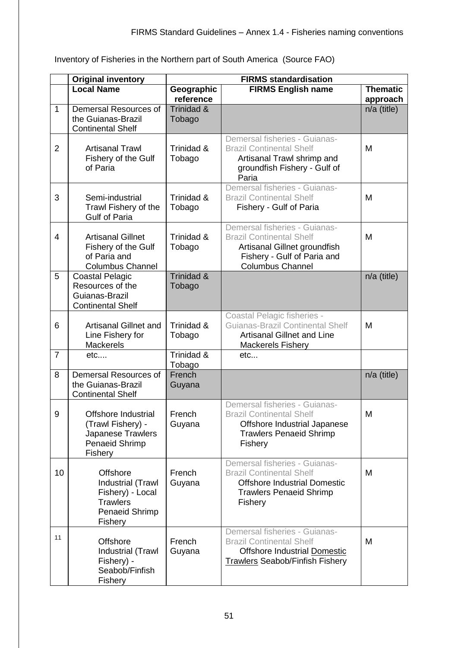Inventory of Fisheries in the Northern part of South America (Source FAO)

|                | <b>Original inventory</b>                                                                                | <b>FIRMS standardisation</b> |                                                                                                                                                            |                             |
|----------------|----------------------------------------------------------------------------------------------------------|------------------------------|------------------------------------------------------------------------------------------------------------------------------------------------------------|-----------------------------|
|                | <b>Local Name</b>                                                                                        | Geographic<br>reference      | <b>FIRMS English name</b>                                                                                                                                  | <b>Thematic</b><br>approach |
| 1              | Demersal Resources of<br>the Guianas-Brazil<br><b>Continental Shelf</b>                                  | Trinidad &<br>Tobago         |                                                                                                                                                            | $n/a$ (title)               |
| $\overline{2}$ | <b>Artisanal Trawl</b><br>Fishery of the Gulf<br>of Paria                                                | Trinidad &<br>Tobago         | Demersal fisheries - Guianas-<br><b>Brazil Continental Shelf</b><br>Artisanal Trawl shrimp and<br>groundfish Fishery - Gulf of<br>Paria                    | M                           |
| 3              | Semi-industrial<br>Trawl Fishery of the<br><b>Gulf of Paria</b>                                          | Trinidad &<br>Tobago         | Demersal fisheries - Guianas-<br><b>Brazil Continental Shelf</b><br>Fishery - Gulf of Paria                                                                | M                           |
| 4              | <b>Artisanal Gillnet</b><br>Fishery of the Gulf<br>of Paria and<br><b>Columbus Channel</b>               | Trinidad &<br>Tobago         | Demersal fisheries - Guianas-<br><b>Brazil Continental Shelf</b><br>Artisanal Gillnet groundfish<br>Fishery - Gulf of Paria and<br><b>Columbus Channel</b> | M                           |
| 5              | <b>Coastal Pelagic</b><br>Resources of the<br>Guianas-Brazil<br><b>Continental Shelf</b>                 | Trinidad &<br>Tobago         |                                                                                                                                                            | $n/a$ (title)               |
| 6              | <b>Artisanal Gillnet and</b><br>Line Fishery for<br><b>Mackerels</b>                                     | Trinidad &<br>Tobago         | Coastal Pelagic fisheries -<br><b>Guianas-Brazil Continental Shelf</b><br><b>Artisanal Gillnet and Line</b><br>Mackerels Fishery                           | M                           |
| $\overline{7}$ | etc                                                                                                      | Trinidad &<br>Tobago         | etc                                                                                                                                                        |                             |
| 8              | Demersal Resources of<br>the Guianas-Brazil<br><b>Continental Shelf</b>                                  | French<br>Guyana             |                                                                                                                                                            | $n/a$ (title)               |
| 9              | Offshore Industrial<br>(Trawl Fishery) -<br>Japanese Trawlers<br><b>Penaeid Shrimp</b><br>Fishery        | French<br>Guyana             | Demersal fisheries - Guianas-<br><b>Brazil Continental Shelf</b><br>Offshore Industrial Japanese<br><b>Trawlers Penaeid Shrimp</b><br>Fishery              | M                           |
| 10             | <b>Offshore</b><br>Industrial (Trawl<br>Fishery) - Local<br><b>Trawlers</b><br>Penaeid Shrimp<br>Fishery | French<br>Guyana             | Demersal fisheries - Guianas-<br><b>Brazil Continental Shelf</b><br><b>Offshore Industrial Domestic</b><br><b>Trawlers Penaeid Shrimp</b><br>Fishery       | M                           |
| 11             | <b>Offshore</b><br>Industrial (Trawl<br>Fishery) -<br>Seabob/Finfish<br>Fishery                          | French<br>Guyana             | Demersal fisheries - Guianas-<br><b>Brazil Continental Shelf</b><br>Offshore Industrial Domestic<br><b>Trawlers Seabob/Finfish Fishery</b>                 | M                           |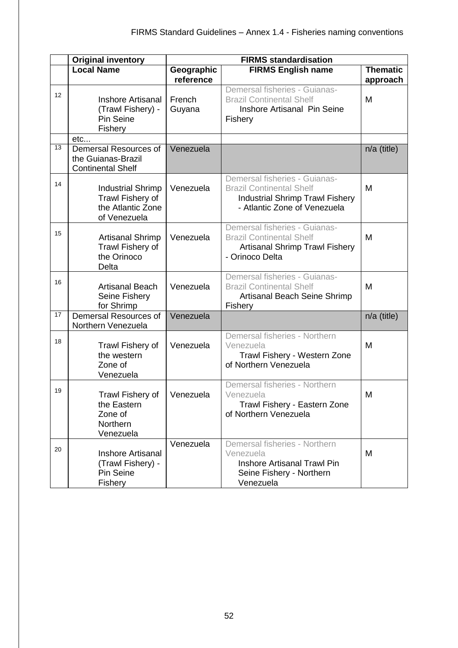|                 | <b>Original inventory</b>                                                         | <b>FIRMS standardisation</b> |                                                                                                                                            |                 |
|-----------------|-----------------------------------------------------------------------------------|------------------------------|--------------------------------------------------------------------------------------------------------------------------------------------|-----------------|
|                 | <b>Local Name</b>                                                                 | Geographic                   | <b>FIRMS English name</b>                                                                                                                  | <b>Thematic</b> |
|                 |                                                                                   | reference                    | Demersal fisheries - Guianas-                                                                                                              | approach        |
| 12 <sup>2</sup> | <b>Inshore Artisanal</b><br>(Trawl Fishery) -<br>Pin Seine<br>Fishery             | French<br>Guyana             | <b>Brazil Continental Shelf</b><br>Inshore Artisanal Pin Seine<br>Fishery                                                                  | M               |
|                 | etc                                                                               |                              |                                                                                                                                            |                 |
| 13              | Demersal Resources of<br>the Guianas-Brazil<br><b>Continental Shelf</b>           | Venezuela                    |                                                                                                                                            | $n/a$ (title)   |
| 14              | <b>Industrial Shrimp</b><br>Trawl Fishery of<br>the Atlantic Zone<br>of Venezuela | Venezuela                    | Demersal fisheries - Guianas-<br><b>Brazil Continental Shelf</b><br><b>Industrial Shrimp Trawl Fishery</b><br>- Atlantic Zone of Venezuela | M               |
| 15              | <b>Artisanal Shrimp</b><br>Trawl Fishery of<br>the Orinoco<br>Delta               | Venezuela                    | Demersal fisheries - Guianas-<br><b>Brazil Continental Shelf</b><br><b>Artisanal Shrimp Trawl Fishery</b><br>- Orinoco Delta               | M               |
| 16              | <b>Artisanal Beach</b><br>Seine Fishery<br>for Shrimp                             | Venezuela                    | Demersal fisheries - Guianas-<br><b>Brazil Continental Shelf</b><br>Artisanal Beach Seine Shrimp<br>Fishery                                | M               |
| 17              | Demersal Resources of<br>Northern Venezuela                                       | Venezuela                    |                                                                                                                                            | n/a (title)     |
| 18              | Trawl Fishery of<br>the western<br>Zone of<br>Venezuela                           | Venezuela                    | Demersal fisheries - Northern<br>Venezuela<br>Trawl Fishery - Western Zone<br>of Northern Venezuela                                        | M               |
| 19              | Trawl Fishery of<br>the Eastern<br>Zone of<br>Northern<br>Venezuela               | Venezuela                    | Demersal fisheries - Northern<br>Venezuela<br>Trawl Fishery - Eastern Zone<br>of Northern Venezuela                                        | M               |
| 20              | <b>Inshore Artisanal</b><br>(Trawl Fishery) -<br>Pin Seine<br>Fishery             | Venezuela                    | Demersal fisheries - Northern<br>Venezuela<br><b>Inshore Artisanal Trawl Pin</b><br>Seine Fishery - Northern<br>Venezuela                  | M               |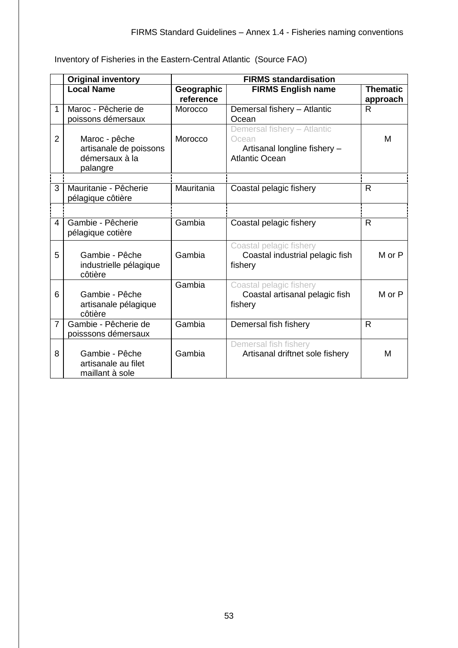Inventory of Fisheries in the Eastern-Central Atlantic (Source FAO)

|                | <b>Original inventory</b>                                             | <b>FIRMS standardisation</b> |                                                                                               |                             |
|----------------|-----------------------------------------------------------------------|------------------------------|-----------------------------------------------------------------------------------------------|-----------------------------|
|                | <b>Local Name</b>                                                     | Geographic<br>reference      | <b>FIRMS English name</b>                                                                     | <b>Thematic</b><br>approach |
| 1              | Maroc - Pêcherie de<br>poissons démersaux                             | Morocco                      | Demersal fishery - Atlantic<br>Ocean                                                          | R                           |
| $\overline{2}$ | Maroc - pêche<br>artisanale de poissons<br>démersaux à la<br>palangre | Morocco                      | Demersal fishery - Atlantic<br>Ocean<br>Artisanal longline fishery -<br><b>Atlantic Ocean</b> | M                           |
| 3              | Mauritanie - Pêcherie<br>pélagique côtière                            | Mauritania                   | Coastal pelagic fishery                                                                       | R                           |
|                |                                                                       |                              |                                                                                               |                             |
| 4              | Gambie - Pêcherie<br>pélagique cotière                                | Gambia                       | Coastal pelagic fishery                                                                       | R                           |
| 5              | Gambie - Pêche<br>industrielle pélagique<br>côtière                   | Gambia                       | Coastal pelagic fishery<br>Coastal industrial pelagic fish<br>fishery                         | M or P                      |
| 6              | Gambie - Pêche<br>artisanale pélagique<br>côtière                     | Gambia                       | Coastal pelagic fishery<br>Coastal artisanal pelagic fish<br>fishery                          | M or P                      |
| $\overline{7}$ | Gambie - Pêcherie de<br>poisssons démersaux                           | Gambia                       | Demersal fish fishery                                                                         | $\mathsf{R}$                |
| 8              | Gambie - Pêche<br>artisanale au filet<br>maillant à sole              | Gambia                       | Demersal fish fishery<br>Artisanal driftnet sole fishery                                      | M                           |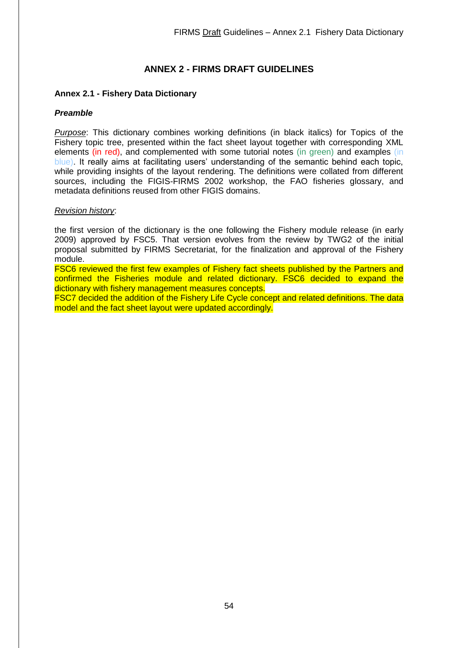# **ANNEX 2 - FIRMS DRAFT GUIDELINES**

# <span id="page-53-1"></span><span id="page-53-0"></span>**Annex 2.1 - Fishery Data Dictionary**

# *Preamble*

*Purpose*: This dictionary combines working definitions (in black italics) for Topics of the Fishery topic tree, presented within the fact sheet layout together with corresponding XML elements (in red), and complemented with some tutorial notes (in green) and examples (in blue). It really aims at facilitating users' understanding of the semantic behind each topic, while providing insights of the layout rendering. The definitions were collated from different sources, including the FIGIS-FIRMS 2002 workshop, the FAO fisheries glossary, and metadata definitions reused from other FIGIS domains.

### *Revision history*:

the first version of the dictionary is the one following the Fishery module release (in early 2009) approved by FSC5. That version evolves from the review by TWG2 of the initial proposal submitted by FIRMS Secretariat, for the finalization and approval of the Fishery module.

FSC6 reviewed the first few examples of Fishery fact sheets published by the Partners and confirmed the Fisheries module and related dictionary. FSC6 decided to expand the dictionary with fishery management measures concepts.

FSC7 decided the addition of the Fishery Life Cycle concept and related definitions. The data model and the fact sheet layout were updated accordingly.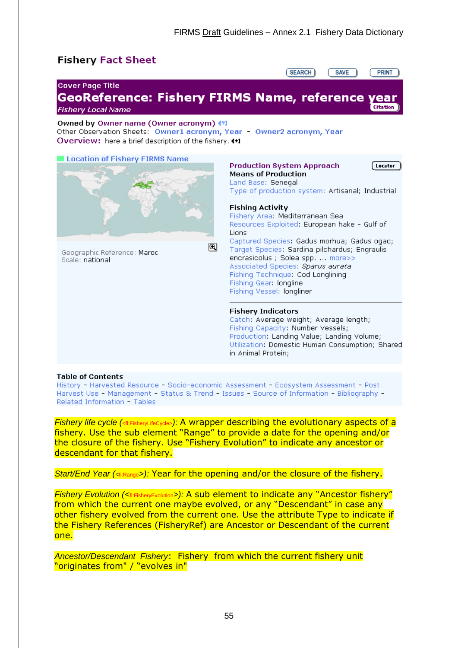# **Fishery Fact Sheet**



#### **Table of Contents**

History - Harvested Resource - Socio-economic Assessment - Ecosystem Assessment - Post Harvest Use - Management - Status & Trend - Issues - Source of Information - Bibliography -Related Information - Tables

*Fishery life cycle (*<fi:FisheryLifeCycle>*):* A wrapper describing the evolutionary aspects of a fishery. Use the sub element "Range" to provide a date for the opening and/or the closure of the fishery. Use "Fishery Evolution" to indicate any ancestor or descendant for that fishery.

*Start/End Year (<*fi:Range*>):* Year for the opening and/or the closure of the fishery.

*Fishery Evolution (<*fi:FisheryEvolution*>):* A sub element to indicate any "Ancestor fishery" from which the current one maybe evolved, or any "Descendant" in case any other fishery evolved from the current one. Use the attribute Type to indicate if the Fishery References (FisheryRef) are Ancestor or Descendant of the current one.

*Ancestor/Descendant Fishery*: Fishery from which the current fishery unit "originates from" / "evolves in"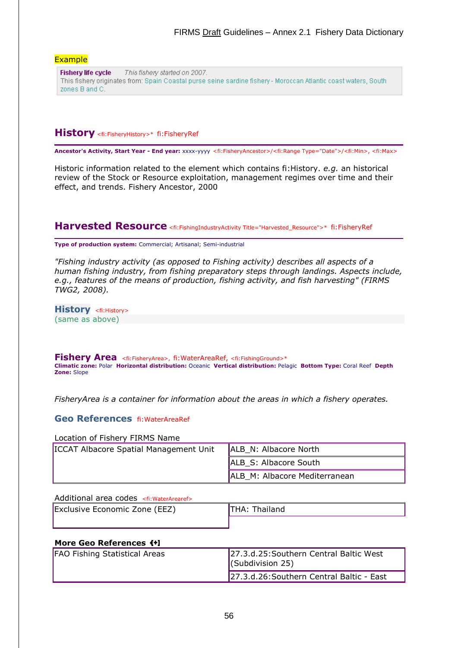#### **Example**

**Fishery life cycle** This fishery started on 2007. This fishery originates from: Spain Coastal purse seine sardine fishery - Moroccan Atlantic coast waters, South zones B and C.

# **History** <fi:FisheryHistory>\* fi:FisheryRef

**Ancestor's Activity, Start Year - End year:** xxxx-yyyy <fi:FisheryAncestor>/<fi:Range Type="Date">/<fi:Min>, <fi:Max>

Historic information related to the element which contains fi:History. *e.g.* an historical review of the Stock or Resource exploitation, management regimes over time and their effect, and trends. Fishery Ancestor, 2000

# **Harvested Resource** <fi:FishingIndustryActivity Title="Harvested\_Resource">\* fi:FisheryRef

**Type of production system:** Commercial; Artisanal; Semi-industrial

*"Fishing industry activity (as opposed to Fishing activity) describes all aspects of a human fishing industry, from fishing preparatory steps through landings. Aspects include, e.g., features of the means of production, fishing activity, and fish harvesting" (FIRMS TWG2, 2008).*

**History** <fi: History> (same as above)

**Fishery Area** <fi:FisheryArea>, fi:WaterAreaRef, <fi:FishingGround>\* **Climatic zone:** Polar **Horizontal distribution:** Oceanic **Vertical distribution:** Pelagic **Bottom Type:** Coral Reef **Depth Zone:** Slope

*FisheryArea is a container for information about the areas in which a fishery operates.*

### **Geo References** fi:WaterAreaRef

#### Location of Fishery FIRMS Name

| <b>ICCAT Albacore Spatial Management Unit</b> | ALB N: Albacore North         |
|-----------------------------------------------|-------------------------------|
|                                               | ALB S: Albacore South         |
|                                               | ALB M: Albacore Mediterranean |

#### Additional area codes <fi:WaterArearef>

| Exclusive Economic Zone (EEZ) | Thailand<br>THA: |
|-------------------------------|------------------|
|                               |                  |

#### **More Geo References**

| <b>FAO Fishing Statistical Areas</b> | 27.3.d.25: Southern Central Baltic West<br>$\vert$ (Subdivision 25) |
|--------------------------------------|---------------------------------------------------------------------|
|                                      | 27.3.d.26: Southern Central Baltic - East                           |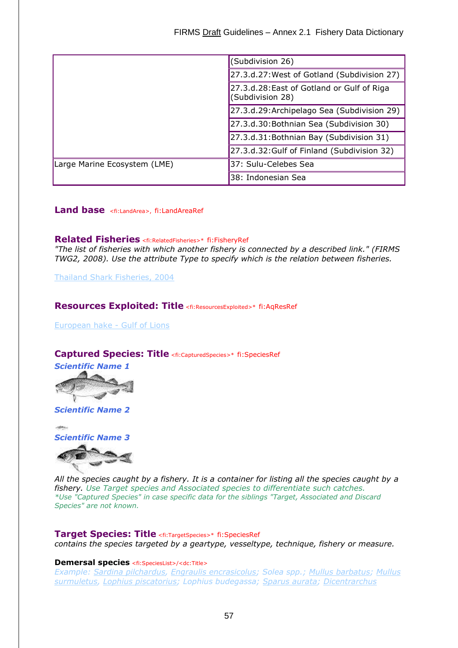|                              | (Subdivision 26)                                               |  |  |
|------------------------------|----------------------------------------------------------------|--|--|
|                              | 27.3.d.27: West of Gotland (Subdivision 27)                    |  |  |
|                              | 27.3.d.28: East of Gotland or Gulf of Riga<br>(Subdivision 28) |  |  |
|                              | 27.3.d.29: Archipelago Sea (Subdivision 29)                    |  |  |
|                              | 27.3.d.30: Bothnian Sea (Subdivision 30)                       |  |  |
|                              | 27.3.d.31: Bothnian Bay (Subdivision 31)                       |  |  |
|                              | 27.3.d.32: Gulf of Finland (Subdivision 32)                    |  |  |
| Large Marine Ecosystem (LME) | 37: Sulu-Celebes Sea                                           |  |  |
|                              | 38: Indonesian Sea                                             |  |  |

**Land base** <fi:LandArea>, fi:LandAreaRef

### **Related Fisheries** <fi:RelatedFisheries>\* fi:FisheryRef

*"The list of fisheries with which another fishery is connected by a described link." (FIRMS TWG2, 2008). Use the attribute Type to specify which is the relation between fisheries.*

[Thailand Shark Fisheries, 2004](http://firms.fao.org/firms/fishery/348)

### **Resources Exploited: Title** <fi:ResourcesExploited>\* fi:AqResRef

[European hake -](http://firms.fao.org/firms/resource/13345/en) Gulf of Lions

#### **Captured Species: Title** <fi:CapturedSpecies>\* fi:SpeciesRef



*[Scientific Name 2](http://firms.fao.org/figis/servlet/FiRefServlet?ds=species&fid=2219)*

**Select** *[Scientific Name 3](http://firms.fao.org/figis/servlet/FiRefServlet?ds=species&fid=2219)*

*All the species caught by a fishery. It is a container for listing all the species caught by a fishery. Use Target species and Associated species to differentiate such catches. \*Use "Captured Species" in case specific data for the siblings "Target, Associated and Discard Species" are not known.*

**Target Species: Title** <fi:TargetSpecies>\* fi:SpeciesRef *contains the species targeted by a geartype, vesseltype, technique, fishery or measure.*

#### **Demersal species** <fi:SpeciesList>/<dc:Title>

*Example: [Sardina pilchardus,](http://www.fao.org/figis/servlet/FiRefServlet?ds=species&fid=2910) [Engraulis encrasicolus;](http://www.fao.org/figis/servlet/FiRefServlet?ds=species&fid=2106) Solea spp.; [Mullus barbatus;](http://www.fao.org/figis/servlet/FiRefServlet?ds=species&fid=3208) [Mullus](http://www.fao.org/figis/servlet/FiRefServlet?ds=species&fid=3207)  [surmuletus,](http://www.fao.org/figis/servlet/FiRefServlet?ds=species&fid=3207) [Lophius piscatorius;](http://www.fao.org/figis/servlet/FiRefServlet?ds=species&fid=3379) Lophius budegassa; [Sparus aurata;](http://www.fao.org/figis/servlet/FiRefServlet?ds=species&fid=2384) [Dicentrarchus](http://www.fao.org/figis/servlet/FiRefServlet?ds=species&fid=2291)*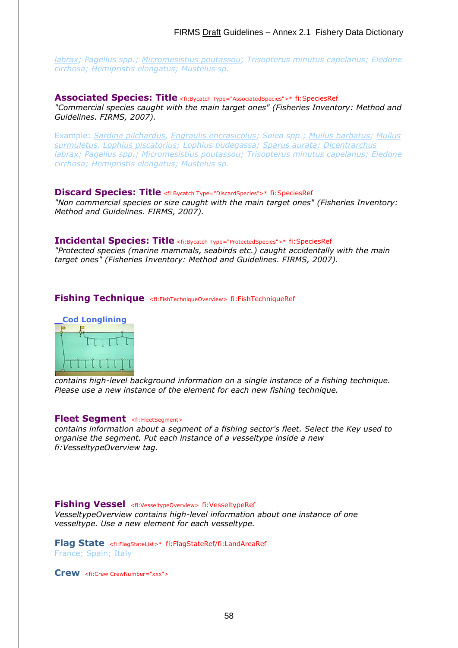*labrax; Pagellus spp.; [Micromesistius poutassou;](http://www.fao.org/figis/servlet/FiRefServlet?ds=species&fid=3021) Trisopterus minutus capelanus; Eledone cirrhosa; Hemipristis elongatus; Mustelus sp.*

**Associated Species: Title** <fi:Bycatch Type="AssociatedSpecies">\* fi:SpeciesRef *"Commercial species caught with the main target ones" (Fisheries Inventory: Method and Guidelines. FIRMS, 2007).*

Example: *[Sardina pilchardus,](http://www.fao.org/figis/servlet/FiRefServlet?ds=species&fid=2910) [Engraulis encrasicolus;](http://www.fao.org/figis/servlet/FiRefServlet?ds=species&fid=2106) Solea spp.; [Mullus barbatus;](http://www.fao.org/figis/servlet/FiRefServlet?ds=species&fid=3208) [Mullus](http://www.fao.org/figis/servlet/FiRefServlet?ds=species&fid=3207)  [surmuletus,](http://www.fao.org/figis/servlet/FiRefServlet?ds=species&fid=3207) [Lophius piscatorius;](http://www.fao.org/figis/servlet/FiRefServlet?ds=species&fid=3379) Lophius budegassa; [Sparus aurata;](http://www.fao.org/figis/servlet/FiRefServlet?ds=species&fid=2384) [Dicentrarchus](http://www.fao.org/figis/servlet/FiRefServlet?ds=species&fid=2291)  [labrax;](http://www.fao.org/figis/servlet/FiRefServlet?ds=species&fid=2291) Pagellus spp.; [Micromesistius poutassou;](http://www.fao.org/figis/servlet/FiRefServlet?ds=species&fid=3021) Trisopterus minutus capelanus; Eledone cirrhosa; Hemipristis elongatus; Mustelus sp.*

# **Discard Species: Title** <fi:Bycatch Type="DiscardSpecies">\* fi:SpeciesRef

*"Non commercial species or size caught with the main target ones" (Fisheries Inventory: Method and Guidelines. FIRMS, 2007).* 

#### **Incidental Species: Title** <fi:Bycatch Type="ProtectedSpecies">\* fi:SpeciesRef

*"Protected species (marine mammals, seabirds etc.) caught accidentally with the main target ones" (Fisheries Inventory: Method and Guidelines. FIRMS, 2007).*

#### **Fishing Technique** <fi:FishTechniqueOverview> fi:FishTechniqueRef



*contains high-level background information on a single instance of a fishing technique. Please use a new instance of the element for each new fishing technique.*

#### **Fleet Segment** <fi:FleetSegment>

*contains information about a segment of a fishing sector's fleet. Select the Key used to organise the segment. Put each instance of a vesseltype inside a new fi:VesseltypeOverview tag.*

#### **Fishing Vessel** <fi:VesseltypeOverview> fi:VesseltypeRef

*VesseltypeOverview contains high-level information about one instance of one vesseltype. Use a new element for each vesseltype.*

**Flag State** <fi:FlagStateList>\* fi:FlagStateRef/fi:LandAreaRef France; Spain; Italy

**Crew** <fi:Crew CrewNumber="xxx">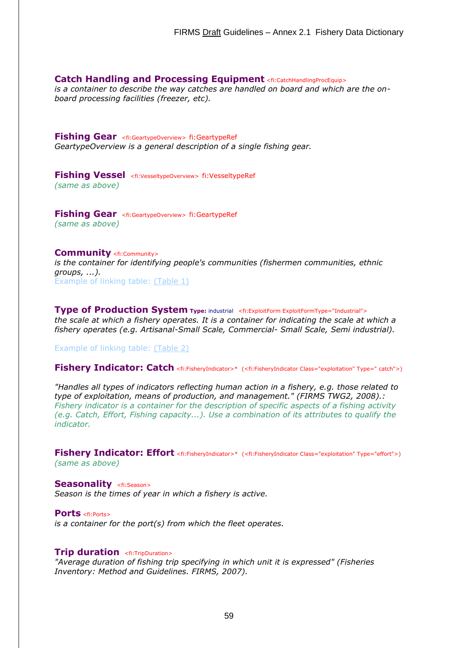#### **Catch Handling and Processing Equipment** <fi:CatchHandlingProcEquip>

*is a container to describe the way catches are handled on board and which are the onboard processing facilities (freezer, etc).*

**Fishing Gear** <fi:GeartypeOverview> fi:GeartypeRef *GeartypeOverview is a general description of a single fishing gear.*

**Fishing Vessel** <fi:VesseltypeOverview> fi:VesseltypeRef *(same as above)*

**Fishing Gear** <fi:GeartypeOverview> fi:GeartypeRef *(same as above)*

#### **Community** <fi:Community>

*is the container for identifying people's communities (fishermen communities, ethnic groups, ...).* Example of linking table: [\(Table 1\)](http://firms.fao.org/fi/figis/firms_test/fisheries/kw_fishery_areaname.html#table1#table1)

**Type of Production System Type:** industrial <fi:ExploitForm ExploitFormType="Industrial"> *the scale at which a fishery operates. It is a container for indicating the scale at which a fishery operates (e.g. Artisanal-Small Scale, Commercial- Small Scale, Semi industrial).*

Example of linking table: [\(Table 2\)](http://firms.fao.org/fi/figis/firms_test/fisheries/kw_fishery_areaname.html#table2#table2)

**Fishery Indicator: Catch** <fi:FisheryIndicator>\* (<fi:FisheryIndicator Class="exploitation" Type=" catch">)

*"Handles all types of indicators reflecting human action in a fishery, e.g. those related to type of exploitation, means of production, and management." (FIRMS TWG2, 2008).: Fishery indicator is a container for the description of specific aspects of a fishing activity (e.g. Catch, Effort, Fishing capacity...). Use a combination of its attributes to qualify the indicator.*

**Fishery Indicator: Effort** <fi:FisheryIndicator>\* (<fi:FisheryIndicator Class="exploitation" Type="effort">) *(same as above)*

**Seasonality** <fi:Season> *Season is the times of year in which a fishery is active.*

**Ports** <fi:Ports> *is a container for the port(s) from which the fleet operates.*

#### **Trip duration** <fi:TripDuration>

*"Average duration of fishing trip specifying in which unit it is expressed" (Fisheries Inventory: Method and Guidelines. FIRMS, 2007).*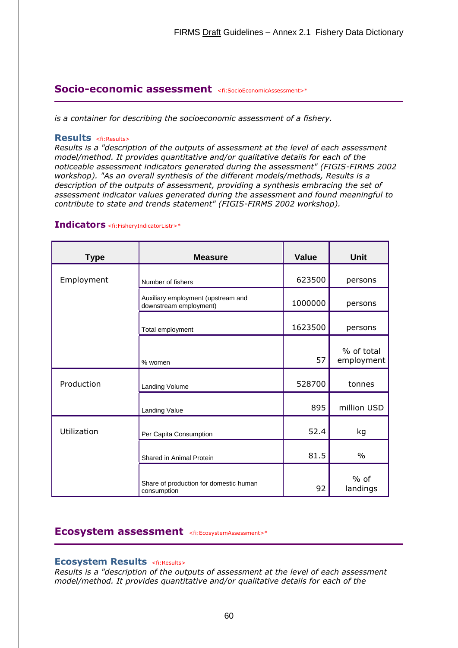# **Socio-economic assessment** <fi:SocioEconomicAssessment>\*

*is a container for describing the socioeconomic assessment of a fishery.*

#### **Results** <fi:Results>

*Results is a "description of the outputs of assessment at the level of each assessment model/method. It provides quantitative and/or qualitative details for each of the noticeable assessment indicators generated during the assessment" (FIGIS-FIRMS 2002 workshop). "As an overall synthesis of the different models/methods, Results is a description of the outputs of assessment, providing a synthesis embracing the set of assessment indicator values generated during the assessment and found meaningful to contribute to state and trends statement" (FIGIS-FIRMS 2002 workshop).*

| <b>Type</b> | <b>Measure</b>                                               | <b>Value</b> | <b>Unit</b>              |
|-------------|--------------------------------------------------------------|--------------|--------------------------|
| Employment  | Number of fishers                                            | 623500       | persons                  |
|             | Auxiliary employment (upstream and<br>downstream employment) | 1000000      | persons                  |
|             | Total employment                                             | 1623500      | persons                  |
|             | % women                                                      | 57           | % of total<br>employment |
| Production  | Landing Volume                                               | 528700       | tonnes                   |
|             | Landing Value                                                | 895          | million USD              |
| Utilization | Per Capita Consumption                                       | 52.4         | kg                       |
|             | Shared in Animal Protein                                     | 81.5         | $\frac{0}{0}$            |
|             | Share of production for domestic human<br>consumption        | 92           | $%$ of<br>landings       |

#### **Indicators** <fi:FisheryIndicatorListr>\*

### **Ecosystem assessment** <fi:EcosystemAssessment>\*

#### **Ecosystem Results** <fi:Results>

*Results is a "description of the outputs of assessment at the level of each assessment model/method. It provides quantitative and/or qualitative details for each of the*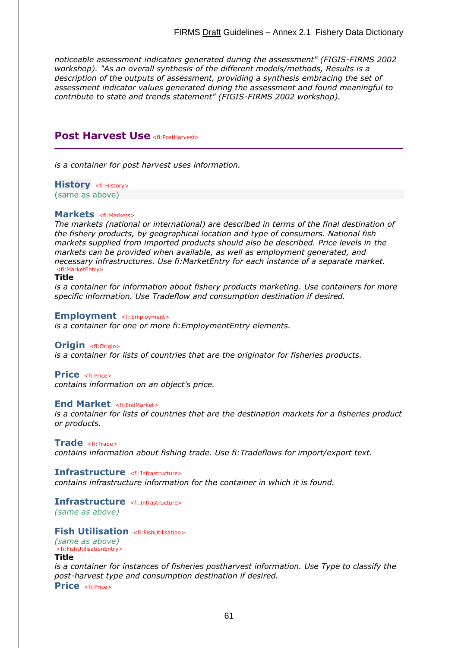*noticeable assessment indicators generated during the assessment" (FIGIS-FIRMS 2002 workshop). "As an overall synthesis of the different models/methods, Results is a description of the outputs of assessment, providing a synthesis embracing the set of assessment indicator values generated during the assessment and found meaningful to contribute to state and trends statement" (FIGIS-FIRMS 2002 workshop).*

# **Post Harvest Use** <fi:PostHarvest>

*is a container for post harvest uses information.*

**History** <fi: History> (same as above)

#### **Markets** <fi:Markets>

*The markets (national or international) are described in terms of the final destination of the fishery products, by geographical location and type of consumers. National fish markets supplied from imported products should also be described. Price levels in the markets can be provided when available, as well as employment generated, and necessary infrastructures. Use fi:MarketEntry for each instance of a separate market.* <fi:MarketEntry>

#### **Title**

*is a container for information about fishery products marketing. Use containers for more specific information. Use Tradeflow and consumption destination if desired.*

#### **Employment** <fi:Employment>

*is a container for one or more fi:EmploymentEntry elements.*

#### **Origin** <fi:Origin>

*is a container for lists of countries that are the originator for fisheries products.*

#### **Price** <fi:Price>

*contains information on an object's price.*

#### **End Market** <fi:EndMarket>

*is a container for lists of countries that are the destination markets for a fisheries product or products.*

**Trade** <fi:Trade>

*contains information about fishing trade. Use fi:Tradeflows for import/export text.*

#### **Infrastructure** <fi:Infrastructure>

*contains infrastructure information for the container in which it is found.*

#### **Infrastructure** <fi:Infrastructure>

*(same as above)*

#### **Fish Utilisation** <fi:FishUtilisation>

*(same as above)* <fi:FishUtilisationEntry>

#### **Title**

*is a container for instances of fisheries postharvest information. Use Type to classify the post-harvest type and consumption destination if desired.* **Price** <fi:Price>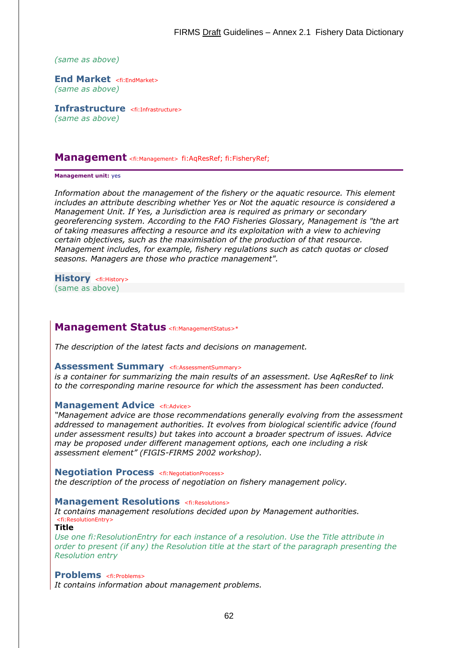*(same as above)*

**End Market** <fi:EndMarket> *(same as above)*

**Infrastructure** <fi:Infrastructure> *(same as above)*

#### **Management** <fi:Management> fi:AqResRef; fi:FisheryRef;

#### **Management unit:** yes

*Information about the management of the fishery or the aquatic resource. This element includes an attribute describing whether Yes or Not the aquatic resource is considered a Management Unit. If Yes, a Jurisdiction area is required as primary or secondary georeferencing system. According to the FAO Fisheries Glossary, Management is "the art of taking measures affecting a resource and its exploitation with a view to achieving certain objectives, such as the maximisation of the production of that resource. Management includes, for example, fishery regulations such as catch quotas or closed seasons. Managers are those who practice management".*

**History** <fi:History> (same as above)

# **Management Status** <fi:ManagementStatus>\*

*The description of the latest facts and decisions on management.*

#### **Assessment Summary <fi:AssessmentSummary>**

*is a container for summarizing the main results of an assessment. Use AqResRef to link to the corresponding marine resource for which the assessment has been conducted.*

#### **Management Advice <fi:Advice>**

*"Management advice are those recommendations generally evolving from the assessment addressed to management authorities. It evolves from biological scientific advice (found under assessment results) but takes into account a broader spectrum of issues. Advice may be proposed under different management options, each one including a risk assessment element" (FIGIS-FIRMS 2002 workshop).*

#### **Negotiation Process** <fi:NegotiationProcess>

*the description of the process of negotiation on fishery management policy.*

#### **Management Resolutions** <fi:Resolutions>

*It contains management resolutions decided upon by Management authorities.* <fi:ResolutionEntry>

#### **Title**

*Use one fi:ResolutionEntry for each instance of a resolution. Use the Title attribute in order to present (if any) the Resolution title at the start of the paragraph presenting the Resolution entry*

#### **Problems** <fi:Problems>

*It contains information about management problems.*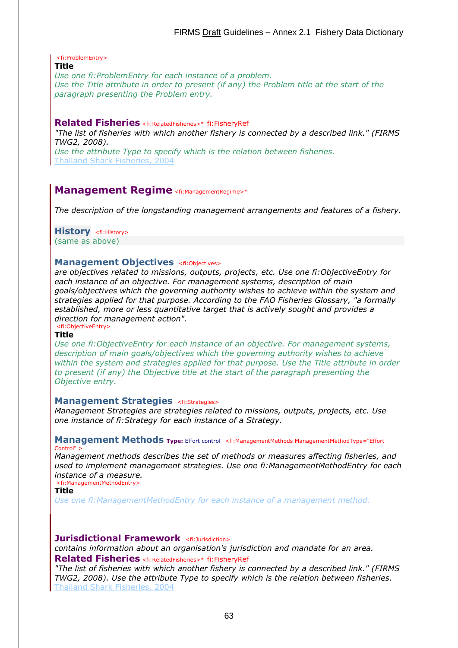<fi:ProblemEntry>

#### **Title**

*Use one fi:ProblemEntry for each instance of a problem. Use the Title attribute in order to present (if any) the Problem title at the start of the paragraph presenting the Problem entry.*

#### **Related Fisheries** <fi:RelatedFisheries>\* fi:FisheryRef

*"The list of fisheries with which another fishery is connected by a described link." (FIRMS TWG2, 2008).* 

*Use the attribute Type to specify which is the relation between fisheries.* [Thailand Shark Fisheries, 2004](http://firms.fao.org/firms/fishery/348)

# **Management Regime** <fi: Management Regime>\*

*The description of the longstanding management arrangements and features of a fishery.*

**History** <fi:History>

(same as above)

#### **Management Objectives <fi:Objectives>**

*are objectives related to missions, outputs, projects, etc. Use one fi:ObjectiveEntry for each instance of an objective. For management systems, description of main goals/objectives which the governing authority wishes to achieve within the system and strategies applied for that purpose. According to the FAO Fisheries Glossary, "a formally established, more or less quantitative target that is actively sought and provides a direction for management action".* <fi:ObjectiveEntry>

#### **Title**

*Use one fi:ObjectiveEntry for each instance of an objective. For management systems, description of main goals/objectives which the governing authority wishes to achieve within the system and strategies applied for that purpose. Use the Title attribute in order to present (if any) the Objective title at the start of the paragraph presenting the Objective entry.*

#### **Management Strategies** <fi:Strategies>

*Management Strategies are strategies related to missions, outputs, projects, etc. Use one instance of fi:Strategy for each instance of a Strategy.*

#### **Management Methods Type:** Effort control <fi:ManagementMethods ManagementMethodType="Effort Control" >

*Management methods describes the set of methods or measures affecting fisheries, and used to implement management strategies. Use one fi:ManagementMethodEntry for each instance of a measure.* <fi:ManagementMethodEntry>

**Title**

*Use one fi:ManagementMethodEntry for each instance of a management method.*

#### **Jurisdictional Framework** <fi:Jurisdiction>

*contains information about an organisation's jurisdiction and mandate for an area.* **Related Fisheries** <fi:RelatedFisheries>\* fi:FisheryRef

*"The list of fisheries with which another fishery is connected by a described link." (FIRMS TWG2, 2008). Use the attribute Type to specify which is the relation between fisheries.* [Thailand Shark Fisheries, 2004](http://firms.fao.org/firms/fishery/348)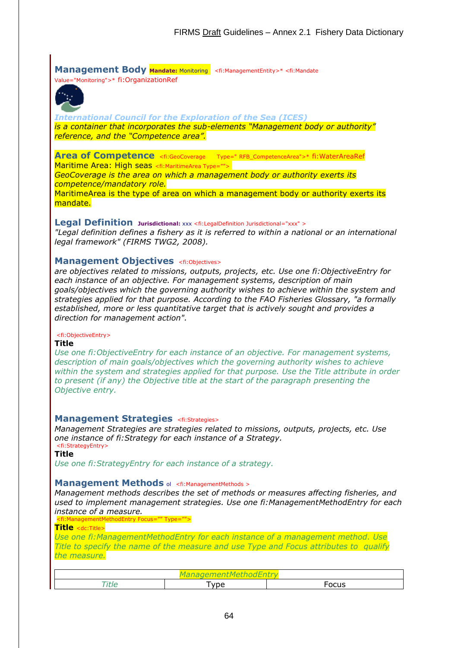**Management Body Mandate: Monitoring <fi: ManagementEntity>\* <fi: Mandate** Value="Monitoring">\* fi:OrganizationRef



*[International Council for the Exploration of the Sea \(ICES\)](http://firms.fao.org/fi/figis/firms_test/fisheries/www.ices.dk) is a container that incorporates the sub-elements "Management body or authority" reference, and the "Competence area".*

**Area of Competence** <fi:GeoCoverage Type=" RFB\_CompetenceArea">\* fi:WaterAreaRef Maritime Area: High seas <fi:MaritimeArea Type="">

*GeoCoverage is the area on which a management body or authority exerts its competence/mandatory role.*

MaritimeArea is the type of area on which a management body or authority exerts its mandate.

**Legal Definition Jurisdictional:** xxx <fi:LegalDefinition Jurisdictional="xxx" >

*"Legal definition defines a fishery as it is referred to within a national or an international legal framework" (FIRMS TWG2, 2008).*

### **Management Objectives** <fi:Objectives>

*are objectives related to missions, outputs, projects, etc. Use one fi:ObjectiveEntry for each instance of an objective. For management systems, description of main goals/objectives which the governing authority wishes to achieve within the system and strategies applied for that purpose. According to the FAO Fisheries Glossary, "a formally established, more or less quantitative target that is actively sought and provides a direction for management action".*

#### <fi:ObjectiveEntry>

#### **Title**

*Use one fi:ObjectiveEntry for each instance of an objective. For management systems, description of main goals/objectives which the governing authority wishes to achieve within the system and strategies applied for that purpose. Use the Title attribute in order to present (if any) the Objective title at the start of the paragraph presenting the Objective entry.*

#### **Management Strategies** <fi:Strategies>

*Management Strategies are strategies related to missions, outputs, projects, etc. Use one instance of fi:Strategy for each instance of a Strategy.* <fi:StrategyEntry>

**Title**

*Use one fi:StrategyEntry for each instance of a strategy.*

#### **Management Methods** of <fi:ManagementMethods >

*Management methods describes the set of methods or measures affecting fisheries, and used to implement management strategies. Use one fi:ManagementMethodEntry for each instance of a measure.*

<fi:ManagementMethodEntry Focus="" Type="">

**Title** <dc:Title>

*Use one fi:ManagementMethodEntry for each instance of a management method. Use Title to specify the name of the measure and use Type and Focus attributes to qualify the measure.*

| <b>___</b> | <u>vne</u> | -     |  |
|------------|------------|-------|--|
| 'LIL       | ີ          | Focus |  |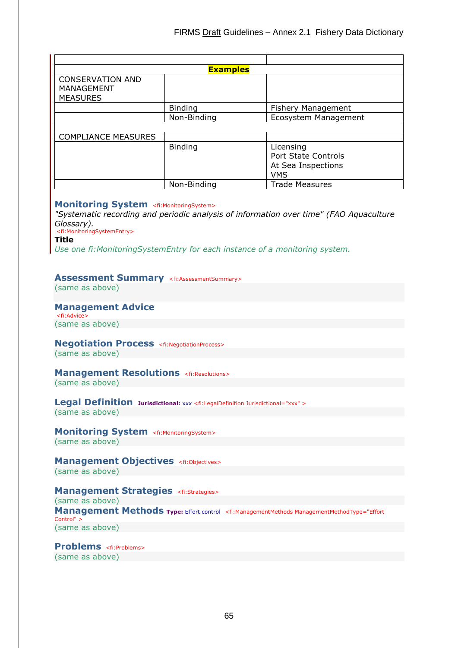|                                                          | <b>Examples</b> |                                                                             |
|----------------------------------------------------------|-----------------|-----------------------------------------------------------------------------|
| <b>CONSERVATION AND</b><br>MANAGEMENT<br><b>MEASURES</b> |                 |                                                                             |
|                                                          | <b>Binding</b>  | <b>Fishery Management</b>                                                   |
|                                                          | Non-Binding     | Ecosystem Management                                                        |
|                                                          |                 |                                                                             |
| <b>COMPLIANCE MEASURES</b>                               |                 |                                                                             |
|                                                          | <b>Binding</b>  | Licensing<br><b>Port State Controls</b><br>At Sea Inspections<br><b>VMS</b> |
|                                                          | Non-Binding     | <b>Trade Measures</b>                                                       |

#### **Monitoring System** <fi:MonitoringSystem>

*"Systematic recording and periodic analysis of information over time" (FAO Aquaculture Glossary).*

<fi:MonitoringSystemEntry>

**Title**

*Use one fi:MonitoringSystemEntry for each instance of a monitoring system.*

#### **Assessment Summary** <fi:AssessmentSummary>

(same as above)

#### **Management Advice**

<fi:Advice> (same as above)

# **Negotiation Process** <fi:NegotiationProcess>

(same as above)

# **Management Resolutions** <fi:Resolutions>

(same as above)

#### **Legal Definition Jurisdictional:** xxx <fi:LegalDefinition Jurisdictional="xxx" > (same as above)

**Monitoring System** <fi:MonitoringSystem> (same as above)

#### **Management Objectives** <fi:Objectives> (same as above)

#### **Management Strategies** <fi:Strategies>

(same as above)

**Management Methods Type:** Effort control <fi:ManagementMethods ManagementMethodType="Effort Control" > (same as above)

#### **Problems** <fi:Problems> (same as above)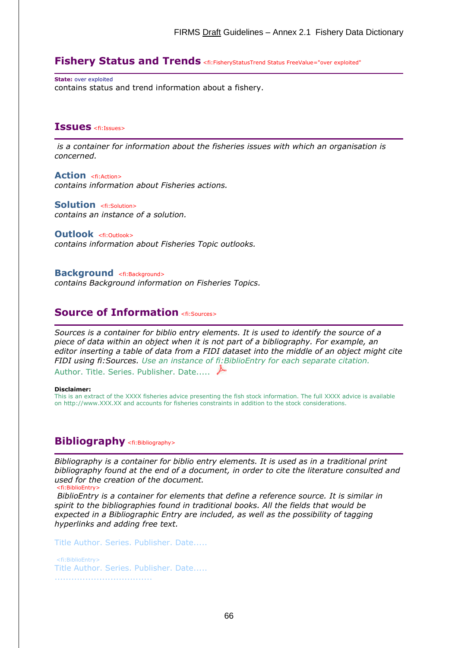# **Fishery Status and Trends** <fi:FisheryStatusTrend Status FreeValue="over exploited"

**State:** over exploited contains status and trend information about a fishery.

# **Issues** <fi:Issues>

*is a container for information about the fisheries issues with which an organisation is concerned.*

**Action** <fi:Action> *contains information about Fisheries actions.*

**Solution** <fi:Solution> *contains an instance of a solution.*

#### **Outlook** <fi:Outlook>

*contains information about Fisheries Topic outlooks.*

**Background** <fi:Background>

*contains Background information on Fisheries Topics.*

# **Source of Information** <fi:Sources>

*Sources is a container for biblio entry elements. It is used to identify the source of a piece of data within an object when it is not part of a bibliography. For example, an editor inserting a table of data from a FIDI dataset into the middle of an object might cite FIDI using fi:Sources. Use an instance of fi:BiblioEntry for each separate citation.* Author. Title. Series. Publisher. Date..... ▶

#### **Disclaimer:**

This is an extract of the XXXX fisheries advice presenting the fish stock information. The full XXXX advice is available on http://www.XXX.XX and accounts for fisheries constraints in addition to the stock considerations.

# **Bibliography** <fi:Bibliography>

*Bibliography is a container for biblio entry elements. It is used as in a traditional print bibliography found at the end of a document, in order to cite the literature consulted and used for the creation of the document.* <fi:BiblioEntry>

*BiblioEntry is a container for elements that define a reference source. It is similar in spirit to the bibliographies found in traditional books. All the fields that would be expected in a Bibliographic Entry are included, as well as the possibility of tagging hyperlinks and adding free text.* 

Title Author. Series. Publisher. Date.....

<fi:BiblioEntry> Title Author. Series. Publisher. Date..... ...................................